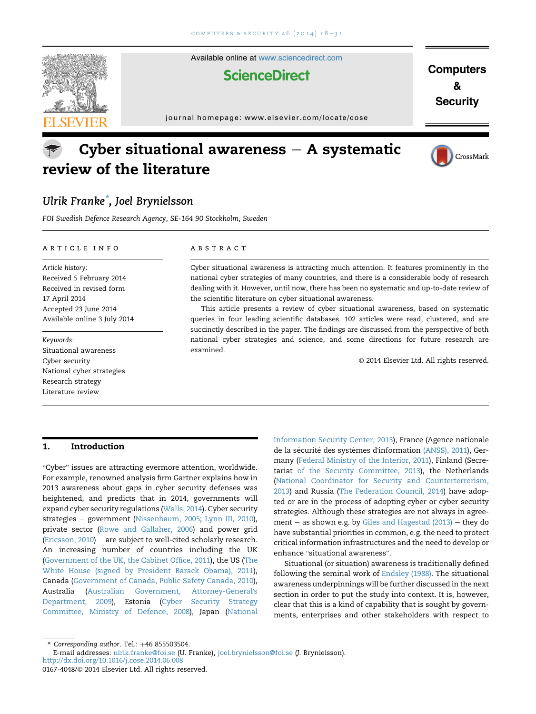<span id="page-0-0"></span>

Available online at [www.sciencedirect.com](www.sciencedirect.com/science/journal/01674048)

## **ScienceDirect**

**Computers** & **Security** 

journal homepage:<www.elsevier.com/locate/cose>

# Cyber situational awareness  $-$  A systematic review of the literature



## Ulrik Franke\* , Joel Brynielsson

FOI Swedish Defence Research Agency, SE-164 90 Stockholm, Sweden

#### article info

Article history: Received 5 February 2014 Received in revised form 17 April 2014 Accepted 23 June 2014 Available online 3 July 2014

Keywords: Situational awareness Cyber security National cyber strategies Research strategy Literature review

#### **ABSTRACT**

Cyber situational awareness is attracting much attention. It features prominently in the national cyber strategies of many countries, and there is a considerable body of research dealing with it. However, until now, there has been no systematic and up-to-date review of the scientific literature on cyber situational awareness.

This article presents a review of cyber situational awareness, based on systematic queries in four leading scientific databases. 102 articles were read, clustered, and are succinctly described in the paper. The findings are discussed from the perspective of both national cyber strategies and science, and some directions for future research are examined.

© 2014 Elsevier Ltd. All rights reserved.

## 1. Introduction

Cyber" issues are attracting evermore attention, worldwide. For example, renowned analysis firm Gartner explains how in 2013 awareness about gaps in cyber security defenses was heightened, and predicts that in 2014, governments will expand cyber security regulations [\(Walls, 2014\)](#page-13-0). Cyber security strategies – government ([Nissenbaum, 2005](#page-12-0); [Lynn III, 2010\)](#page-12-0), private sector ([Rowe and Gallaher, 2006](#page-12-0)) and power grid (Ericsson,  $2010$ ) – are subject to well-cited scholarly research. An increasing number of countries including the UK ([Government of the UK, the Cabinet Office, 2011\)](#page-11-0), the US [\(The](#page-13-0) [White House \(signed by President Barack Obama\), 2011\)](#page-13-0), Canada ([Government of Canada, Public Safety Canada, 2010\)](#page-11-0), Australia [\(Australian Government, Attorney-General](#page-10-0)'s [Department, 2009](#page-10-0)), Estonia ([Cyber Security Strategy](#page-10-0) [Committee, Ministry of Defence, 2008\)](#page-10-0), Japan ([National](#page-12-0)

[Information Security Center, 2013\)](#page-12-0), France (Agence nationale de la sécurité des systèmes d'information [\(ANSS\), 2011](#page-10-0)), Germany ([Federal Ministry of the Interior, 2011\)](#page-11-0), Finland (Secretariat [of the Security Committee, 2013](#page-12-0)), the Netherlands ([National Coordinator for Security and Counterterrorism,](#page-12-0) [2013\)](#page-12-0) and Russia ([The Federation Council, 2014](#page-13-0)) have adopted or are in the process of adopting cyber or cyber security strategies. Although these strategies are not always in agreement  $-$  as shown e.g. by [Giles and Hagestad \(2013\)](#page-11-0)  $-$  they do have substantial priorities in common, e.g. the need to protect critical information infrastructures and the need to develop or enhance "situational awareness".

Situational (or situation) awareness is traditionally defined following the seminal work of [Endsley \(1988\).](#page-11-0) The situational awareness underpinnings will be further discussed in the next section in order to put the study into context. It is, however, clear that this is a kind of capability that is sought by governments, enterprises and other stakeholders with respect to

 $*$  Corresponding author. Tel.:  $+46$  855503504.

E-mail addresses: [ulrik.franke@foi.se](mailto:ulrik.franke@foi.se) (U. Franke), [joel.brynielsson@foi.se](mailto:joel.brynielsson@foi.se) (J. Brynielsson). <http://dx.doi.org/10.1016/j.cose.2014.06.008>

<sup>0167-4048/</sup>© 2014 Elsevier Ltd. All rights reserved.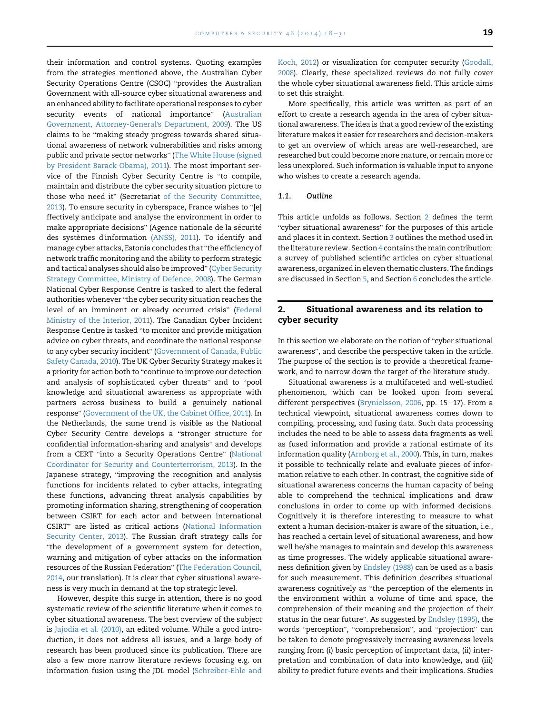<span id="page-1-0"></span>their information and control systems. Quoting examples from the strategies mentioned above, the Australian Cyber Security Operations Centre (CSOC) "provides the Australian Government with all-source cyber situational awareness and an enhanced ability to facilitate operational responses to cyber security events of national importance" [\(Australian](#page-10-0) [Government, Attorney-General](#page-10-0)'s Department, 2009). The US claims to be "making steady progress towards shared situational awareness of network vulnerabilities and risks among public and private sector networks" ([The White House \(signed](#page-13-0) [by President Barack Obama\), 2011\)](#page-13-0). The most important ser-vice of the Finnish Cyber Security Centre is "to compile, maintain and distribute the cyber security situation picture to those who need it" (Secretariat [of the Security Committee,](#page-12-0) those who need it" (Secretariat of the Security Committee, [2013](#page-12-0)). To ensure security in cyberspace, France wishes to "[e] ffectively anticipate and analyse the environment in order to make appropriate decisions" (Agence nationale de la securit <sup>e</sup> des systèmes d'information [\(ANSS\), 2011](#page-10-0)). To identify and<br>manage cyber attacks, Estonia concludes that "the efficiency of network traffic monitoring and the ability to perform strategic and tactical analyses should also be improved" ([Cyber Security](#page-10-0) [Strategy Committee, Ministry of Defence, 2008\)](#page-10-0). The German National Cyber Response Centre is tasked to alert the federal authorities whenever "the cyber security situation reaches the authorities whenever "the cyber security situation reaches the level of an imminent or already occurred crisis" [\(Federal](#page-11-0) [Ministry of the Interior, 2011\)](#page-11-0). The Canadian Cyber Incident Response Centre is tasked "to monitor and provide mitigation advice on cyber threats, and coordinate the national response to any cyber security incident" ([Government of Canada, Public](#page-11-0) [Safety Canada, 2010](#page-11-0)). The UK Cyber Security Strategy makes it Safety Canada, 2010). The UK Cyber Security Strategy makes it<br>a priority for action both to "continue to improve our detection a priority for action both to "continue to improve our detection<br>and analysis of sophisticated cyber threats" and to "pool knowledge and situational awareness as appropriate with partners across business to build a genuinely national response" ([Government of the UK, the Cabinet Office, 2011](#page-11-0)). In the Netherlands, the same trend is visible as the National response" (Government of the UK, the Cabinet Office, 2011). In<br>the Netherlands, the same trend is visible as the National<br>Cyber Security Centre develops a "stronger structure for Cyber Security Centre develops a "stronger structure for<br>confidential information-sharing and analysis" and develops ,<br>confidential information-sharing and analysis" and develops<br>from a CERT "into a Security Operations Centre" [\(National](#page-12-0) [Coordinator for Security and Counterterrorism, 2013\)](#page-12-0). In the Japanese strategy, "improving the recognition and analysis functions for incidents related to cyber attacks, integrating these functions, advancing threat analysis capabilities by promoting information sharing, strengthening of cooperation between CSIRT for each actor and between international CSIRT" are listed as critical actions ([National Information](#page-12-0) [Security Center, 2013\)](#page-12-0). The Russian draft strategy calls for ""the development of a government system for detection, warning and mitigation of cyber attacks on the information resources of the Russian Federation" [\(The Federation Council,](#page-13-0) [2014](#page-13-0), our translation). It is clear that cyber situational awareness is very much in demand at the top strategic level.

However, despite this surge in attention, there is no good systematic review of the scientific literature when it comes to cyber situational awareness. The best overview of the subject is [Jajodia et al. \(2010\),](#page-11-0) an edited volume. While a good introduction, it does not address all issues, and a large body of research has been produced since its publication. There are also a few more narrow literature reviews focusing e.g. on information fusion using the JDL model [\(Schreiber-Ehle and](#page-12-0)

[Koch, 2012](#page-12-0)) or visualization for computer security [\(Goodall,](#page-11-0) [2008](#page-11-0)). Clearly, these specialized reviews do not fully cover the whole cyber situational awareness field. This article aims to set this straight.

More specifically, this article was written as part of an effort to create a research agenda in the area of cyber situational awareness. The idea is that a good review of the existing literature makes it easier for researchers and decision-makers to get an overview of which areas are well-researched, are researched but could become more mature, or remain more or less unexplored. Such information is valuable input to anyone who wishes to create a research agenda.

## 1.1. Outline

This article unfolds as follows. Section 2 defines the term "cyber situational awareness" for the purposes of this article and places it in context. Section [3](#page-2-0) outlines the method used in the literature review. Section [4](#page-3-0) contains the main contribution: a survey of published scientific articles on cyber situational awareness, organized in eleven thematic clusters. The findings are discussed in Section [5,](#page-8-0) and Section [6](#page-9-0) concludes the article.

## 2. Situational awareness and its relation to cyber security

In this section we elaborate on the notion of "cyber situational awareness", and describe the perspective taken in the article. The purpose of the section is to provide a theoretical framework, and to narrow down the target of the literature study.

Situational awareness is a multifaceted and well-studied phenomenon, which can be looked upon from several different perspectives [\(Brynielsson, 2006](#page-10-0), pp. 15-17). From a technical viewpoint, situational awareness comes down to compiling, processing, and fusing data. Such data processing includes the need to be able to assess data fragments as well as fused information and provide a rational estimate of its information quality [\(Arnborg et al., 2000\)](#page-10-0). This, in turn, makes it possible to technically relate and evaluate pieces of information relative to each other. In contrast, the cognitive side of situational awareness concerns the human capacity of being able to comprehend the technical implications and draw conclusions in order to come up with informed decisions. Cognitively it is therefore interesting to measure to what extent a human decision-maker is aware of the situation, i.e., has reached a certain level of situational awareness, and how well he/she manages to maintain and develop this awareness as time progresses. The widely applicable situational awareness definition given by [Endsley \(1988\)](#page-11-0) can be used as a basis for such measurement. This definition describes situational awareness cognitively as "the perception of the elements in the environment within a volume of time and space, the comprehension of their meaning and the projection of their status in the near future". As suggested by [Endsley \(1995\),](#page-11-0) the words "perception", "comprehension", and "projection" can be taken to denote progressively increasing awareness levels ranging from (i) basic perception of important data, (ii) interpretation and combination of data into knowledge, and (iii) ability to predict future events and their implications. Studies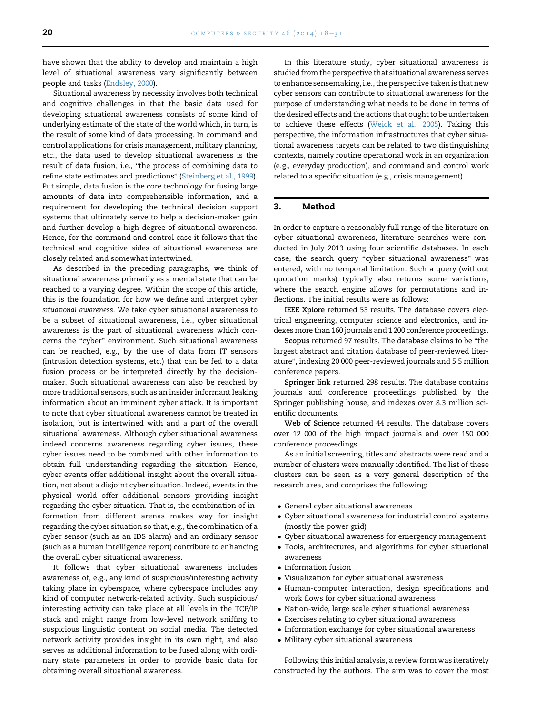<span id="page-2-0"></span>have shown that the ability to develop and maintain a high level of situational awareness vary significantly between people and tasks ([Endsley, 2000](#page-11-0)).

Situational awareness by necessity involves both technical and cognitive challenges in that the basic data used for developing situational awareness consists of some kind of underlying estimate of the state of the world which, in turn, is the result of some kind of data processing. In command and control applications for crisis management, military planning, etc., the data used to develop situational awareness is the etc., the data used to develop situational awareness is the<br>result of data fusion, i.e., "the process of combining data to result of data fusion, i.e., "the process of combining data to<br>refine state estimates and predictions" ([Steinberg et al., 1999\)](#page-13-0). Put simple, data fusion is the core technology for fusing large amounts of data into comprehensible information, and a requirement for developing the technical decision support systems that ultimately serve to help a decision-maker gain and further develop a high degree of situational awareness. Hence, for the command and control case it follows that the technical and cognitive sides of situational awareness are closely related and somewhat intertwined.

As described in the preceding paragraphs, we think of situational awareness primarily as a mental state that can be reached to a varying degree. Within the scope of this article, this is the foundation for how we define and interpret cyber situational awareness. We take cyber situational awareness to be a subset of situational awareness, i.e., cyber situational awareness is the part of situational awareness which concerns the "cyber" environment. Such situational awareness can be reached, e.g., by the use of data from IT sensors (intrusion detection systems, etc.) that can be fed to a data fusion process or be interpreted directly by the decisionmaker. Such situational awareness can also be reached by more traditional sensors, such as an insider informant leaking information about an imminent cyber attack. It is important to note that cyber situational awareness cannot be treated in isolation, but is intertwined with and a part of the overall situational awareness. Although cyber situational awareness indeed concerns awareness regarding cyber issues, these cyber issues need to be combined with other information to obtain full understanding regarding the situation. Hence, cyber events offer additional insight about the overall situation, not about a disjoint cyber situation. Indeed, events in the physical world offer additional sensors providing insight regarding the cyber situation. That is, the combination of information from different arenas makes way for insight regarding the cyber situation so that, e.g., the combination of a cyber sensor (such as an IDS alarm) and an ordinary sensor (such as a human intelligence report) contribute to enhancing the overall cyber situational awareness.

It follows that cyber situational awareness includes awareness of, e.g., any kind of suspicious/interesting activity taking place in cyberspace, where cyberspace includes any kind of computer network-related activity. Such suspicious/ interesting activity can take place at all levels in the TCP/IP stack and might range from low-level network sniffing to suspicious linguistic content on social media. The detected network activity provides insight in its own right, and also serves as additional information to be fused along with ordinary state parameters in order to provide basic data for obtaining overall situational awareness.

In this literature study, cyber situational awareness is studied from the perspective that situational awareness serves to enhance sensemaking, i.e., the perspective taken is that new cyber sensors can contribute to situational awareness for the purpose of understanding what needs to be done in terms of the desired effects and the actions that ought to be undertaken to achieve these effects [\(Weick et al., 2005](#page-13-0)). Taking this perspective, the information infrastructures that cyber situational awareness targets can be related to two distinguishing contexts, namely routine operational work in an organization (e.g., everyday production), and command and control work related to a specific situation (e.g., crisis management).

## 3. Method

In order to capture a reasonably full range of the literature on cyber situational awareness, literature searches were conducted in July 2013 using four scientific databases. In each case, the search query "cyber situational awareness" was entered, with no temporal limitation. Such a query (without quotation marks) typically also returns some variations, where the search engine allows for permutations and inflections. The initial results were as follows:

IEEE Xplore returned 53 results. The database covers electrical engineering, computer science and electronics, and indexes more than 160 journals and 1 200 conference proceedings.

Scopus returned 97 results. The database claims to be "the largest abstract and citation database of peer-reviewed liter-ature", indexing 20 000 peer-reviewed journals and 5.5 million conference papers.

Springer link returned 298 results. The database contains journals and conference proceedings published by the Springer publishing house, and indexes over 8.3 million scientific documents.

Web of Science returned 44 results. The database covers over 12 000 of the high impact journals and over 150 000 conference proceedings.

As an initial screening, titles and abstracts were read and a number of clusters were manually identified. The list of these clusters can be seen as a very general description of the research area, and comprises the following:

- General cyber situational awareness
- $\bullet$  Cyber situational awareness for industrial control systems (mostly the power grid)
- $\bullet$  Cyber situational awareness for emergency management
- Tools, architectures, and algorithms for cyber situational awareness
- Information fusion
- Visualization for cyber situational awareness
- Human-computer interaction, design specifications and work flows for cyber situational awareness
- $\bullet$  Nation-wide, large scale cyber situational awareness
- $\bullet$  Exercises relating to cyber situational awareness
- $\bullet$  Information exchange for cyber situational awareness
- Military cyber situational awareness

Following this initial analysis, a review form was iteratively constructed by the authors. The aim was to cover the most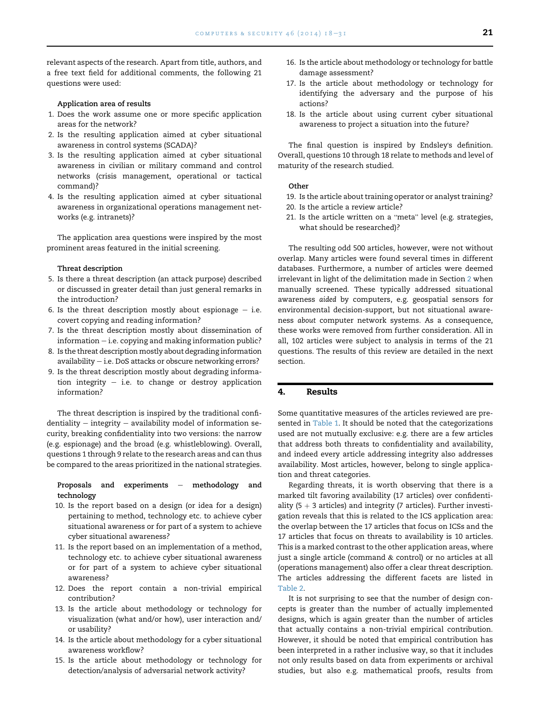<span id="page-3-0"></span>relevant aspects of the research. Apart from title, authors, and a free text field for additional comments, the following 21 questions were used:

#### Application area of results

- 1. Does the work assume one or more specific application areas for the network?
- 2. Is the resulting application aimed at cyber situational awareness in control systems (SCADA)?
- 3. Is the resulting application aimed at cyber situational awareness in civilian or military command and control networks (crisis management, operational or tactical command)?
- 4. Is the resulting application aimed at cyber situational awareness in organizational operations management networks (e.g. intranets)?

The application area questions were inspired by the most prominent areas featured in the initial screening.

#### Threat description

- 5. Is there a threat description (an attack purpose) described or discussed in greater detail than just general remarks in the introduction?
- 6. Is the threat description mostly about espionage  $-$  i.e. covert copying and reading information?
- 7. Is the threat description mostly about dissemination of  $information - i.e. copying and making information public?$
- 8. Is the threat description mostly about degrading information availability  $-$  i.e. DoS attacks or obscure networking errors?
- 9. Is the threat description mostly about degrading information integrity  $-$  i.e. to change or destroy application information?

The threat description is inspired by the traditional confidentiality  $-$  integrity  $-$  availability model of information security, breaking confidentiality into two versions: the narrow (e.g. espionage) and the broad (e.g. whistleblowing). Overall, questions 1 through 9 relate to the research areas and can thus be compared to the areas prioritized in the national strategies.

## Proposals and experiments  $-$  methodology and technology

- 10. Is the report based on a design (or idea for a design) pertaining to method, technology etc. to achieve cyber situational awareness or for part of a system to achieve cyber situational awareness?
- 11. Is the report based on an implementation of a method, technology etc. to achieve cyber situational awareness or for part of a system to achieve cyber situational awareness?
- 12. Does the report contain a non-trivial empirical contribution?
- 13. Is the article about methodology or technology for visualization (what and/or how), user interaction and/ or usability?
- 14. Is the article about methodology for a cyber situational awareness workflow?
- 15. Is the article about methodology or technology for detection/analysis of adversarial network activity?
- 16. Is the article about methodology or technology for battle damage assessment?
- 17. Is the article about methodology or technology for identifying the adversary and the purpose of his actions?
- 18. Is the article about using current cyber situational awareness to project a situation into the future?

The final question is inspired by Endsley's definition. Overall, questions 10 through 18 relate to methods and level of maturity of the research studied.

### **Other**

- 19. Is the article about training operator or analyst training?
- 20. Is the article a review article?
- 21. Is the article written on a "meta" level (e.g. strategies, what should be researched)?

The resulting odd 500 articles, however, were not without overlap. Many articles were found several times in different databases. Furthermore, a number of articles were deemed irrelevant in light of the delimitation made in Section [2](#page-1-0) when manually screened. These typically addressed situational awareness aided by computers, e.g. geospatial sensors for environmental decision-support, but not situational awareness about computer network systems. As a consequence, these works were removed from further consideration. All in all, 102 articles were subject to analysis in terms of the 21 questions. The results of this review are detailed in the next section.

## 4. Results

Some quantitative measures of the articles reviewed are pre-sented in [Table 1](#page-4-0). It should be noted that the categorizations used are not mutually exclusive: e.g. there are a few articles that address both threats to confidentiality and availability, and indeed every article addressing integrity also addresses availability. Most articles, however, belong to single application and threat categories.

Regarding threats, it is worth observing that there is a marked tilt favoring availability (17 articles) over confidentiality (5  $+$  3 articles) and integrity (7 articles). Further investigation reveals that this is related to the ICS application area: the overlap between the 17 articles that focus on ICSs and the 17 articles that focus on threats to availability is 10 articles. This is a marked contrast to the other application areas, where just a single article (command & control) or no articles at all (operations management) also offer a clear threat description. The articles addressing the different facets are listed in [Table 2](#page-4-0).

It is not surprising to see that the number of design concepts is greater than the number of actually implemented designs, which is again greater than the number of articles that actually contains a non-trivial empirical contribution. However, it should be noted that empirical contribution has been interpreted in a rather inclusive way, so that it includes not only results based on data from experiments or archival studies, but also e.g. mathematical proofs, results from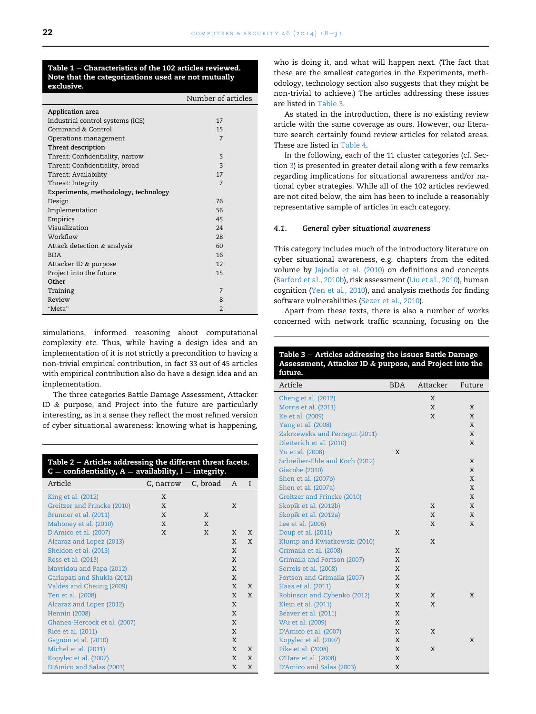#### <span id="page-4-0"></span>Table  $1$  – Characteristics of the 102 articles reviewed. Note that the categorizations used are not mutually exclusive.

|                                      | Number of articles |
|--------------------------------------|--------------------|
| Application area                     |                    |
| Industrial control systems (ICS)     | 17                 |
| Command & Control                    | 15                 |
| Operations management                | 7                  |
| Threat description                   |                    |
| Threat: Confidentiality, narrow      | 5                  |
| Threat: Confidentiality, broad       | 3                  |
| Threat: Availability                 | 17                 |
| Threat: Integrity                    | 7                  |
| Experiments, methodology, technology |                    |
| Design                               | 76                 |
| Implementation                       | 56                 |
| Empirics                             | 45                 |
| Visualization                        | 24                 |
| Workflow                             | 28                 |
| Attack detection & analysis          | 60                 |
| <b>BDA</b>                           | 16                 |
| Attacker ID & purpose                | 12                 |
| Project into the future              | 15                 |
| Other                                |                    |
| Training                             | 7                  |
| Review                               | 8                  |
| "Meta"                               | $\overline{2}$     |

simulations, informed reasoning about computational complexity etc. Thus, while having a design idea and an implementation of it is not strictly a precondition to having a non-trivial empirical contribution, in fact 33 out of 45 articles with empirical contribution also do have a design idea and an implementation.

The three categories Battle Damage Assessment, Attacker ID & purpose, and Project into the future are particularly interesting, as in a sense they reflect the most refined version of cyber situational awareness: knowing what is happening,

| Table $2$ – Articles addressing the different threat facets.<br>$C =$ confidentiality, $A =$ availability, I = integrity. |                    |   |   |   |
|---------------------------------------------------------------------------------------------------------------------------|--------------------|---|---|---|
| Article                                                                                                                   | C, narrow C, broad |   | A | I |
| King et al. (2012)                                                                                                        | X                  |   |   |   |
| Greitzer and Frincke (2010)                                                                                               | X                  |   | X |   |
| Brunner et al. (2011)                                                                                                     | X                  | X |   |   |
| Mahoney et al. (2010)                                                                                                     | X                  | X |   |   |
| D'Amico et al. (2007)                                                                                                     | X                  | X | X | X |
| Alcaraz and Lopez (2013)                                                                                                  |                    |   | X | X |
| Sheldon et al. (2013)                                                                                                     |                    |   | X |   |
| Ross et al. (2013)                                                                                                        |                    |   | X |   |
| Mavridou and Papa (2012)                                                                                                  |                    |   | X |   |
| Garlapati and Shukla (2012)                                                                                               |                    |   | X |   |
| Valdes and Cheung (2009)                                                                                                  |                    |   | X | X |
| Ten et al. (2008)                                                                                                         |                    |   | X | X |
| Alcaraz and Lopez (2012)                                                                                                  |                    |   | X |   |
| Hennin (2008)                                                                                                             |                    |   | X |   |
| Ghanea-Hercock et al. (2007)                                                                                              |                    |   | X |   |
| Rice et al. (2011)                                                                                                        |                    |   | X |   |
| Gagnon et al. (2010)                                                                                                      |                    |   | X |   |
| Michel et al. (2011)                                                                                                      |                    |   | X | X |
| Kopylec et al. (2007)                                                                                                     |                    |   | X | X |
| D'Amico and Salas (2003)                                                                                                  |                    |   | X | X |

who is doing it, and what will happen next. (The fact that these are the smallest categories in the Experiments, methodology, technology section also suggests that they might be non-trivial to achieve.) The articles addressing these issues are listed in Table 3.

As stated in the introduction, there is no existing review article with the same coverage as ours. However, our literature search certainly found review articles for related areas. These are listed in [Table 4.](#page-5-0)

In the following, each of the 11 cluster categories (cf. Section [3](#page-2-0)) is presented in greater detail along with a few remarks regarding implications for situational awareness and/or national cyber strategies. While all of the 102 articles reviewed are not cited below, the aim has been to include a reasonably representative sample of articles in each category.

## 4.1. General cyber situational awareness

This category includes much of the introductory literature on cyber situational awareness, e.g. chapters from the edited volume by [Jajodia et al. \(2010\)](#page-11-0) on definitions and concepts ([Barford et al., 2010b](#page-10-0)), risk assessment ([Liu et al., 2010\)](#page-12-0), human cognition [\(Yen et al., 2010\)](#page-13-0), and analysis methods for finding software vulnerabilities [\(Sezer et al., 2010](#page-13-0)).

Apart from these texts, there is also a number of works concerned with network traffic scanning, focusing on the

| Table 3 - Articles addressing the issues Battle Damage<br>Assessment, Attacker ID & purpose, and Project into the<br>future. |            |          |        |
|------------------------------------------------------------------------------------------------------------------------------|------------|----------|--------|
| Article                                                                                                                      | <b>BDA</b> | Attacker | Future |
| Cheng et al. (2012)                                                                                                          |            | Χ        |        |
| Morris et al. (2011)                                                                                                         |            | X        | Χ      |
| Ke et al. (2009)                                                                                                             |            | X        | X      |
| Yang et al. (2008)                                                                                                           |            |          | X      |
| Zakrzewska and Ferragut (2011)                                                                                               |            |          | X      |
| Dietterich et al. (2010)                                                                                                     |            |          | X      |
| Yu et al. (2008)                                                                                                             | X          |          |        |
| Schreiber-Ehle and Koch (2012)                                                                                               |            |          | X      |
| Giacobe (2010)                                                                                                               |            |          | X      |
| Shen et al. (2007b)                                                                                                          |            |          | Χ      |
| Shen et al. (2007a)                                                                                                          |            |          | X      |
| Greitzer and Frincke (2010)                                                                                                  |            |          | X      |
| Skopik et al. (2012b)                                                                                                        |            | X        | X      |
| Skopik et al. (2012a)                                                                                                        |            | X        | X      |
| Lee et al. (2006)                                                                                                            |            | X        | X      |
| Doup et al. (2011)                                                                                                           | X          |          |        |
| Klump and Kwiatkowski (2010)                                                                                                 |            | X        |        |
| Grimaila et al. (2008)                                                                                                       | X          |          |        |
| Grimaila and Fortson (2007)                                                                                                  | X          |          |        |
| Sorrels et al. (2008)                                                                                                        | X          |          |        |
| Fortson and Grimaila (2007)                                                                                                  | X          |          |        |
| Haas et al. (2011)                                                                                                           | X          |          |        |
| Robinson and Cybenko (2012)                                                                                                  | X          | X        | X      |
| Klein et al. (2011)                                                                                                          | X          | X        |        |
| Beaver et al. (2011)                                                                                                         | X          |          |        |
| Wu et al. (2009)                                                                                                             | X          |          |        |
| D'Amico et al. (2007)                                                                                                        | X          | X        |        |
| Kopylec et al. (2007)                                                                                                        | X          | X        | X      |
| Pike et al. (2008)<br>O'Hare et al. (2008)                                                                                   | X<br>X     |          |        |
|                                                                                                                              |            |          |        |
| D'Amico and Salas (2003)                                                                                                     | X          |          |        |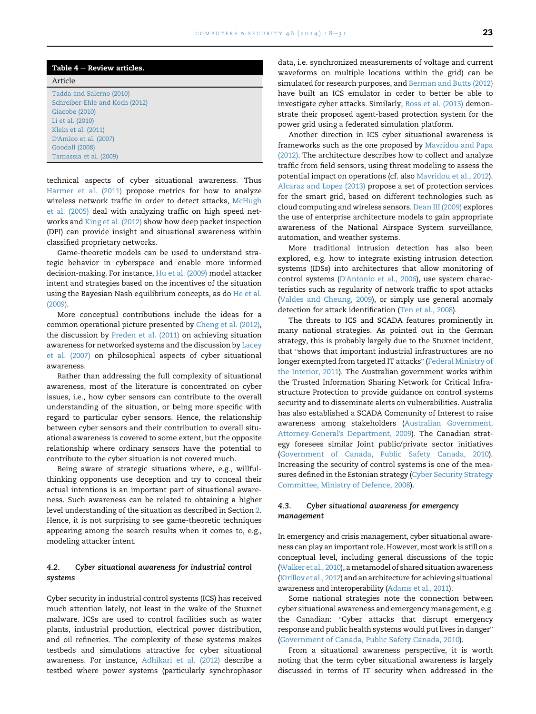<span id="page-5-0"></span>

| Table $4$ – Review articles.   |
|--------------------------------|
| Article                        |
| Tadda and Salerno (2010)       |
| Schreiber-Ehle and Koch (2012) |
| Giacobe (2010)                 |
| Li et al. (2010)               |
| Klein et al. (2011)            |
| D'Amico et al. (2007)          |
| Goodall (2008)                 |
| Tamassia et al. (2009)         |

technical aspects of cyber situational awareness. Thus [Harmer et al. \(2011\)](#page-11-0) propose metrics for how to analyze wireless network traffic in order to detect attacks, [McHugh](#page-12-0) [et al. \(2005\)](#page-12-0) deal with analyzing traffic on high speed networks and [King et al. \(2012\)](#page-12-0) show how deep packet inspection (DPI) can provide insight and situational awareness within classified proprietary networks.

Game-theoretic models can be used to understand strategic behavior in cyberspace and enable more informed decision-making. For instance, [Hu et al. \(2009\)](#page-11-0) model attacker intent and strategies based on the incentives of the situation using the Bayesian Nash equilibrium concepts, as do [He et al.](#page-11-0) [\(2009\)](#page-11-0).

More conceptual contributions include the ideas for a common operational picture presented by [Cheng et al. \(2012\),](#page-10-0) the discussion by [Preden et al. \(2011\)](#page-12-0) on achieving situation awareness for networked systems and the discussion by [Lacey](#page-12-0) [et al. \(2007\)](#page-12-0) on philosophical aspects of cyber situational awareness.

Rather than addressing the full complexity of situational awareness, most of the literature is concentrated on cyber issues, i.e., how cyber sensors can contribute to the overall understanding of the situation, or being more specific with regard to particular cyber sensors. Hence, the relationship between cyber sensors and their contribution to overall situational awareness is covered to some extent, but the opposite relationship where ordinary sensors have the potential to contribute to the cyber situation is not covered much.

Being aware of strategic situations where, e.g., willfulthinking opponents use deception and try to conceal their actual intentions is an important part of situational awareness. Such awareness can be related to obtaining a higher level understanding of the situation as described in Section [2.](#page-1-0) Hence, it is not surprising to see game-theoretic techniques appearing among the search results when it comes to, e.g., modeling attacker intent.

## 4.2. Cyber situational awareness for industrial control systems

Cyber security in industrial control systems (ICS) has received much attention lately, not least in the wake of the Stuxnet malware. ICSs are used to control facilities such as water plants, industrial production, electrical power distribution, and oil refineries. The complexity of these systems makes testbeds and simulations attractive for cyber situational awareness. For instance, [Adhikari et al. \(2012\)](#page-10-0) describe a testbed where power systems (particularly synchrophasor data, i.e. synchronized measurements of voltage and current waveforms on multiple locations within the grid) can be simulated for research purposes, and [Berman and Butts \(2012\)](#page-10-0) have built an ICS emulator in order to better be able to investigate cyber attacks. Similarly, [Ross et al. \(2013\)](#page-12-0) demonstrate their proposed agent-based protection system for the power grid using a federated simulation platform.

Another direction in ICS cyber situational awareness is frameworks such as the one proposed by [Mavridou and Papa](#page-12-0) [\(2012\)](#page-12-0). The architecture describes how to collect and analyze traffic from field sensors, using threat modeling to assess the potential impact on operations (cf. also [Mavridou et al., 2012](#page-12-0)). [Alcaraz and Lopez \(2013\)](#page-10-0) propose a set of protection services for the smart grid, based on different technologies such as cloud computing and wireless sensors. [Dean III \(2009\)](#page-11-0) explores the use of enterprise architecture models to gain appropriate awareness of the National Airspace System surveillance, automation, and weather systems.

More traditional intrusion detection has also been explored, e.g. how to integrate existing intrusion detection systems (IDSs) into architectures that allow monitoring of control systems (D'[Antonio et al., 2006\)](#page-10-0), use system characteristics such as regularity of network traffic to spot attacks [\(Valdes and Cheung, 2009](#page-13-0)), or simply use general anomaly detection for attack identification ([Ten et al., 2008](#page-13-0)).

The threats to ICS and SCADA features prominently in many national strategies. As pointed out in the German strategy, this is probably largely due to the Stuxnet incident, that "shows that important industrial infrastructures are no that "shows that important industrial infrastructures are no<br>longer exempted from targeted IT attacks" ([Federal Ministry of](#page-11-0) [the Interior, 2011](#page-11-0)). The Australian government works within the Trusted Information Sharing Network for Critical Infrastructure Protection to provide guidance on control systems security and to disseminate alerts on vulnerabilities. Australia has also established a SCADA Community of Interest to raise awareness among stakeholders ([Australian Government,](#page-10-0) Attorney-General'[s Department, 2009](#page-10-0)). The Canadian strategy foresees similar Joint public/private sector initiatives [\(Government of Canada, Public Safety Canada, 2010](#page-11-0)). Increasing the security of control systems is one of the measures defined in the Estonian strategy ([Cyber Security Strategy](#page-10-0) [Committee, Ministry of Defence, 2008\)](#page-10-0).

## 4.3. Cyber situational awareness for emergency management

In emergency and crisis management, cyber situational awareness can play an important role. However, most work is still on a conceptual level, including general discussions of the topic [\(Walker et al., 2010\)](#page-13-0), a metamodel of shared situation awareness [\(Kirillov et al., 2012](#page-12-0)) and an architecture for achieving situational awareness and interoperability [\(Adams et al., 2011](#page-10-0)).

Some national strategies note the connection between cyber situational awareness and emergency management, e.g. the Canadian: "Cyber attacks that disrupt emergency the Canadian: "Cyber attacks that disrupt emergency<br>response and public health systems would put lives in danger" [\(Government of Canada, Public Safety Canada, 2010\)](#page-11-0).

From a situational awareness perspective, it is worth noting that the term cyber situational awareness is largely discussed in terms of IT security when addressed in the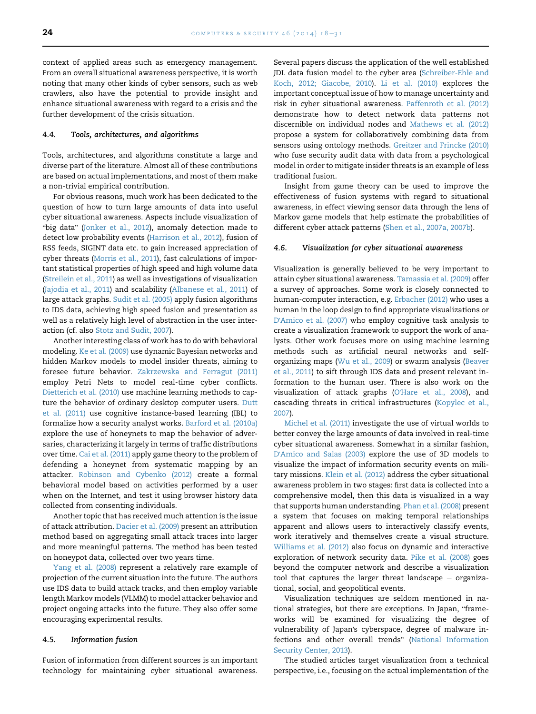context of applied areas such as emergency management. From an overall situational awareness perspective, it is worth noting that many other kinds of cyber sensors, such as web crawlers, also have the potential to provide insight and enhance situational awareness with regard to a crisis and the further development of the crisis situation.

#### 4.4. Tools, architectures, and algorithms

Tools, architectures, and algorithms constitute a large and diverse part of the literature. Almost all of these contributions are based on actual implementations, and most of them make a non-trivial empirical contribution.

For obvious reasons, much work has been dedicated to the question of how to turn large amounts of data into useful .<br>cyber situational awareness. Aspects include visualization of<br>"big data" [\(Jonker et al., 2012](#page-12-0)), anomaly detection made to detect low probability events ([Harrison et al., 2012](#page-11-0)), fusion of RSS feeds, SIGINT data etc. to gain increased appreciation of cyber threats [\(Morris et al., 2011](#page-12-0)), fast calculations of important statistical properties of high speed and high volume data ([Streilein et al., 2011](#page-13-0)) as well as investigations of visualization ([Jajodia et al., 2011](#page-11-0)) and scalability [\(Albanese et al., 2011\)](#page-10-0) of large attack graphs. [Sudit et al. \(2005\)](#page-13-0) apply fusion algorithms to IDS data, achieving high speed fusion and presentation as well as a relatively high level of abstraction in the user interaction (cf. also [Stotz and Sudit, 2007](#page-13-0)).

Another interesting class of work has to do with behavioral modeling. [Ke et al. \(2009\)](#page-12-0) use dynamic Bayesian networks and hidden Markov models to model insider threats, aiming to foresee future behavior. [Zakrzewska and Ferragut \(2011\)](#page-13-0) employ Petri Nets to model real-time cyber conflicts. [Dietterich et al. \(2010\)](#page-11-0) use machine learning methods to capture the behavior of ordinary desktop computer users. [Dutt](#page-11-0) [et al. \(2011\)](#page-11-0) use cognitive instance-based learning (IBL) to formalize how a security analyst works. [Barford et al. \(2010a\)](#page-10-0) explore the use of honeynets to map the behavior of adversaries, characterizing it largely in terms of traffic distributions over time. [Cai et al. \(2011\)](#page-10-0) apply game theory to the problem of defending a honeynet from systematic mapping by an attacker. [Robinson and Cybenko \(2012\)](#page-12-0) create a formal behavioral model based on activities performed by a user when on the Internet, and test it using browser history data collected from consenting individuals.

Another topic that has received much attention is the issue of attack attribution. [Dacier et al. \(2009\)](#page-10-0) present an attribution method based on aggregating small attack traces into larger and more meaningful patterns. The method has been tested on honeypot data, collected over two years time.

[Yang et al. \(2008\)](#page-13-0) represent a relatively rare example of projection of the current situation into the future. The authors use IDS data to build attack tracks, and then employ variable length Markov models (VLMM) to model attacker behavior and project ongoing attacks into the future. They also offer some encouraging experimental results.

#### 4.5. Information fusion

Fusion of information from different sources is an important technology for maintaining cyber situational awareness.

Several papers discuss the application of the well established JDL data fusion model to the cyber area ([Schreiber-Ehle and](#page-12-0) [Koch, 2012; Giacobe, 2010](#page-12-0)). [Li et al. \(2010\)](#page-12-0) explores the important conceptual issue of how to manage uncertainty and risk in cyber situational awareness. [Paffenroth et al. \(2012\)](#page-12-0) demonstrate how to detect network data patterns not discernible on individual nodes and [Mathews et al. \(2012\)](#page-12-0) propose a system for collaboratively combining data from sensors using ontology methods. [Greitzer and Frincke \(2010\)](#page-11-0) who fuse security audit data with data from a psychological model in order to mitigate insider threats is an example of less traditional fusion.

Insight from game theory can be used to improve the effectiveness of fusion systems with regard to situational awareness, in effect viewing sensor data through the lens of Markov game models that help estimate the probabilities of different cyber attack patterns [\(Shen et al., 2007a, 2007b](#page-13-0)).

## 4.6. Visualization for cyber situational awareness

Visualization is generally believed to be very important to attain cyber situational awareness. [Tamassia et al. \(2009\)](#page-13-0) offer a survey of approaches. Some work is closely connected to human-computer interaction, e.g. [Erbacher \(2012\)](#page-11-0) who uses a human in the loop design to find appropriate visualizations or D'[Amico et al. \(2007\)](#page-10-0) who employ cognitive task analysis to create a visualization framework to support the work of analysts. Other work focuses more on using machine learning methods such as artificial neural networks and selforganizing maps [\(Wu et al., 2009\)](#page-13-0) or swarm analysis [\(Beaver](#page-10-0) [et al., 2011](#page-10-0)) to sift through IDS data and present relevant information to the human user. There is also work on the visualization of attack graphs (O'[Hare et al., 2008](#page-12-0)), and cascading threats in critical infrastructures ([Kopylec et al.,](#page-12-0) [2007\)](#page-12-0).

[Michel et al. \(2011\)](#page-12-0) investigate the use of virtual worlds to better convey the large amounts of data involved in real-time cyber situational awareness. Somewhat in a similar fashion, D'[Amico and Salas \(2003\)](#page-10-0) explore the use of 3D models to visualize the impact of information security events on military missions. [Klein et al. \(2012\)](#page-12-0) address the cyber situational awareness problem in two stages: first data is collected into a comprehensive model, then this data is visualized in a way that supports human understanding. [Phan et al. \(2008\)](#page-12-0) present a system that focuses on making temporal relationships apparent and allows users to interactively classify events, work iteratively and themselves create a visual structure. [Williams et al. \(2012\)](#page-13-0) also focus on dynamic and interactive exploration of network security data. [Pike et al. \(2008\)](#page-12-0) goes beyond the computer network and describe a visualization tool that captures the larger threat landscape  $-$  organizational, social, and geopolitical events.

Visualization techniques are seldom mentioned in national strategies, but there are exceptions. In Japan, "frameworks will be examined for visualizing the degree of vulnerability of Japan's cyberspace, degree of malware in-fections and other overall trends" [\(National Information](#page-12-0) [Security Center, 2013\)](#page-12-0).

The studied articles target visualization from a technical perspective, i.e., focusing on the actual implementation of the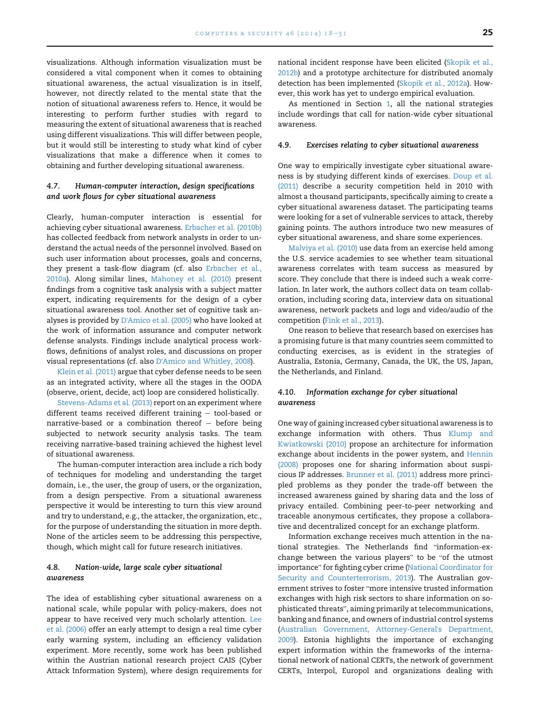visualizations. Although information visualization must be considered a vital component when it comes to obtaining situational awareness, the actual visualization is in itself, however, not directly related to the mental state that the notion of situational awareness refers to. Hence, it would be interesting to perform further studies with regard to measuring the extent of situational awareness that is reached using different visualizations. This will differ between people, but it would still be interesting to study what kind of cyber visualizations that make a difference when it comes to obtaining and further developing situational awareness.

## 4.7. Human-computer interaction, design specifications and work flows for cyber situational awareness

Clearly, human-computer interaction is essential for achieving cyber situational awareness. [Erbacher et al. \(2010b\)](#page-11-0) has collected feedback from network analysts in order to understand the actual needs of the personnel involved. Based on such user information about processes, goals and concerns, they present a task-flow diagram (cf. also [Erbacher et al.,](#page-11-0) [2010a\)](#page-11-0). Along similar lines, [Mahoney et al. \(2010\)](#page-12-0) present findings from a cognitive task analysis with a subject matter expert, indicating requirements for the design of a cyber situational awareness tool. Another set of cognitive task analyses is provided by D'[Amico et al. \(2005\)](#page-10-0) who have looked at the work of information assurance and computer network defense analysts. Findings include analytical process workflows, definitions of analyst roles, and discussions on proper visual representations (cf. also D'[Amico and Whitley, 2008\)](#page-10-0).

[Klein et al. \(2011\)](#page-12-0) argue that cyber defense needs to be seen as an integrated activity, where all the stages in the OODA (observe, orient, decide, act) loop are considered holistically.

[Stevens-Adams et al. \(2013\)](#page-13-0) report on an experiment where different teams received different training  $-$  tool-based or narrative-based or a combination thereof  $-$  before being subjected to network security analysis tasks. The team receiving narrative-based training achieved the highest level of situational awareness.

The human-computer interaction area include a rich body of techniques for modeling and understanding the target domain, i.e., the user, the group of users, or the organization, from a design perspective. From a situational awareness perspective it would be interesting to turn this view around and try to understand, e.g., the attacker, the organization, etc., for the purpose of understanding the situation in more depth. None of the articles seem to be addressing this perspective, though, which might call for future research initiatives.

#### 4.8. Nation-wide, large scale cyber situational awareness

The idea of establishing cyber situational awareness on a national scale, while popular with policy-makers, does not appear to have received very much scholarly attention. [Lee](#page-12-0) [et al. \(2006\)](#page-12-0) offer an early attempt to design a real time cyber early warning system, including an efficiency validation experiment. More recently, some work has been published within the Austrian national research project CAIS (Cyber Attack Information System), where design requirements for

national incident response have been elicited [\(Skopik et al.,](#page-13-0) [2012b](#page-13-0)) and a prototype architecture for distributed anomaly detection has been implemented ([Skopik et al., 2012a](#page-13-0)). However, this work has yet to undergo empirical evaluation.

As mentioned in Section [1,](#page-0-0) all the national strategies include wordings that call for nation-wide cyber situational awareness.

#### 4.9. Exercises relating to cyber situational awareness

One way to empirically investigate cyber situational awareness is by studying different kinds of exercises. [Doup et al.](#page-11-0) [\(2011\)](#page-11-0) describe a security competition held in 2010 with almost a thousand participants, specifically aiming to create a cyber situational awareness dataset. The participating teams were looking for a set of vulnerable services to attack, thereby gaining points. The authors introduce two new measures of cyber situational awareness, and share some experiences.

[Malviya et al. \(2010\)](#page-12-0) use data from an exercise held among the U.S. service academies to see whether team situational awareness correlates with team success as measured by score. They conclude that there is indeed such a weak correlation. In later work, the authors collect data on team collaboration, including scoring data, interview data on situational awareness, network packets and logs and video/audio of the competition [\(Fink et al., 2013\)](#page-11-0).

One reason to believe that research based on exercises has a promising future is that many countries seem committed to conducting exercises, as is evident in the strategies of Australia, Estonia, Germany, Canada, the UK, the US, Japan, the Netherlands, and Finland.

## 4.10. Information exchange for cyber situational awareness

One way of gaining increased cyber situational awareness is to exchange information with others. Thus [Klump and](#page-12-0) [Kwiatkowski \(2010\)](#page-12-0) propose an architecture for information exchange about incidents in the power system, and [Hennin](#page-11-0) [\(2008\)](#page-11-0) proposes one for sharing information about suspicious IP addresses. [Brunner et al. \(2011\)](#page-10-0) address more principled problems as they ponder the trade-off between the increased awareness gained by sharing data and the loss of privacy entailed. Combining peer-to-peer networking and traceable anonymous certificates, they propose a collaborative and decentralized concept for an exchange platform.

Information exchange receives much attention in the national strategies. The Netherlands find "information-extional strategies. The Netherlands find "information-ex-<br>change between the various players" to be "of the utmost change between the various players" to be "of the utmost<br>importance" for fighting cyber crime [\(National Coordinator for](#page-12-0) [Security and Counterterrorism, 2013](#page-12-0)). The Australian gov-ernment strives to foster "more intensive trusted information exchanges with high risk sectors to share information on so-phisticated threats", aiming primarily at telecommunications, banking and finance, and owners of industrial control systems [\(Australian Government, Attorney-General](#page-10-0)'s Department, [2009](#page-10-0)). Estonia highlights the importance of exchanging expert information within the frameworks of the international network of national CERTs, the network of government CERTs, Interpol, Europol and organizations dealing with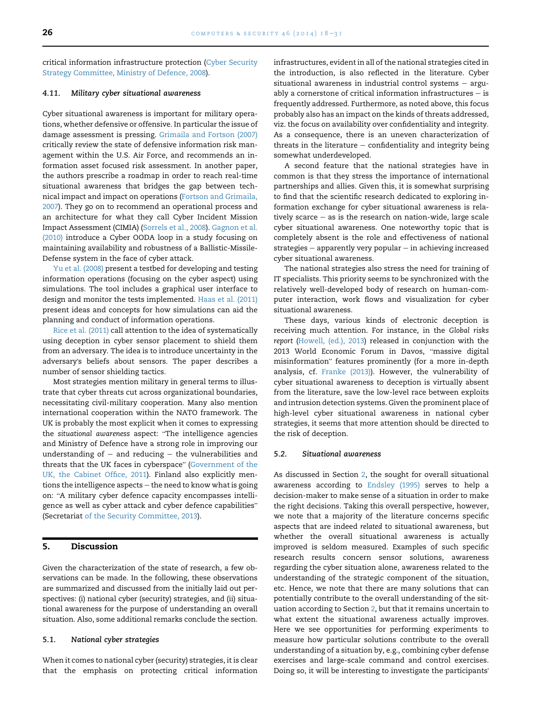<span id="page-8-0"></span>critical information infrastructure protection [\(Cyber Security](#page-10-0) [Strategy Committee, Ministry of Defence, 2008\)](#page-10-0).

#### 4.11. Military cyber situational awareness

Cyber situational awareness is important for military operations, whether defensive or offensive. In particular the issue of damage assessment is pressing. [Grimaila and Fortson \(2007\)](#page-11-0) critically review the state of defensive information risk management within the U.S. Air Force, and recommends an information asset focused risk assessment. In another paper, the authors prescribe a roadmap in order to reach real-time situational awareness that bridges the gap between technical impact and impact on operations ([Fortson and Grimaila,](#page-11-0) [2007\)](#page-11-0). They go on to recommend an operational process and an architecture for what they call Cyber Incident Mission Impact Assessment (CIMIA) [\(Sorrels et al., 2008\)](#page-13-0). [Gagnon et al.](#page-11-0) [\(2010\)](#page-11-0) introduce a Cyber OODA loop in a study focusing on maintaining availability and robustness of a Ballistic-Missile-Defense system in the face of cyber attack.

[Yu et al. \(2008\)](#page-13-0) present a testbed for developing and testing information operations (focusing on the cyber aspect) using simulations. The tool includes a graphical user interface to design and monitor the tests implemented. [Haas et al. \(2011\)](#page-11-0) present ideas and concepts for how simulations can aid the planning and conduct of information operations.

[Rice et al. \(2011\)](#page-12-0) call attention to the idea of systematically using deception in cyber sensor placement to shield them from an adversary. The idea is to introduce uncertainty in the adversary's beliefs about sensors. The paper describes a number of sensor shielding tactics.

Most strategies mention military in general terms to illustrate that cyber threats cut across organizational boundaries, necessitating civil-military cooperation. Many also mention international cooperation within the NATO framework. The UK is probably the most explicit when it comes to expressing the situational awareness aspect: "The intelligence agencies and Ministry of Defence have a strong role in improving our understanding of  $-$  and reducing  $-$  the vulnerabilities and threats that the UK faces in cyberspace" ([Government of the](#page-11-0) [UK, the Cabinet Office, 2011\)](#page-11-0). Finland also explicitly mentions the intelligence aspects  $-$  the need to know what is going tions the intelligence aspects – the need to know what is going<br>on: "A military cyber defence capacity encompasses intellion: "A military cyber defence capacity encompasses intelli-<br>gence as well as cyber attack and cyber defence capabilities" (Secretariat [of the Security Committee, 2013](#page-12-0)).

## 5. Discussion

Given the characterization of the state of research, a few observations can be made. In the following, these observations are summarized and discussed from the initially laid out perspectives: (i) national cyber (security) strategies, and (ii) situational awareness for the purpose of understanding an overall situation. Also, some additional remarks conclude the section.

#### 5.1. National cyber strategies

When it comes to national cyber (security) strategies, it is clear that the emphasis on protecting critical information infrastructures, evident in all of the national strategies cited in the introduction, is also reflected in the literature. Cyber situational awareness in industrial control systems  $-$  arguably a cornerstone of critical information infrastructures  $-$  is frequently addressed. Furthermore, as noted above, this focus probably also has an impact on the kinds of threats addressed, viz. the focus on availability over confidentiality and integrity. As a consequence, there is an uneven characterization of threats in the literature  $-$  confidentiality and integrity being somewhat underdeveloped.

A second feature that the national strategies have in common is that they stress the importance of international partnerships and allies. Given this, it is somewhat surprising to find that the scientific research dedicated to exploring information exchange for cyber situational awareness is relatively scarce  $-$  as is the research on nation-wide, large scale cyber situational awareness. One noteworthy topic that is completely absent is the role and effectiveness of national strategies  $-$  apparently very popular  $-$  in achieving increased cyber situational awareness.

The national strategies also stress the need for training of IT specialists. This priority seems to be synchronized with the relatively well-developed body of research on human-computer interaction, work flows and visualization for cyber situational awareness.

These days, various kinds of electronic deception is receiving much attention. For instance, in the Global risks report ([Howell, \(ed.\), 2013\)](#page-11-0) released in conjunction with the report (Howell, (ed.), 2013) released in conjunction with the<br>2013 World Economic Forum in Davos, "massive digital 2013 World Economic Forum in Davos, "massive digital<br>misinformation" features prominently (for a more in-depth analysis, cf. [Franke \(2013\)\)](#page-11-0). However, the vulnerability of cyber situational awareness to deception is virtually absent from the literature, save the low-level race between exploits and intrusion detection systems. Given the prominent place of high-level cyber situational awareness in national cyber strategies, it seems that more attention should be directed to the risk of deception.

#### 5.2. Situational awareness

As discussed in Section [2](#page-1-0), the sought for overall situational awareness according to [Endsley \(1995\)](#page-11-0) serves to help a decision-maker to make sense of a situation in order to make the right decisions. Taking this overall perspective, however, we note that a majority of the literature concerns specific aspects that are indeed related to situational awareness, but whether the overall situational awareness is actually improved is seldom measured. Examples of such specific research results concern sensor solutions, awareness regarding the cyber situation alone, awareness related to the understanding of the strategic component of the situation, etc. Hence, we note that there are many solutions that can potentially contribute to the overall understanding of the situation according to Section [2,](#page-1-0) but that it remains uncertain to what extent the situational awareness actually improves. Here we see opportunities for performing experiments to measure how particular solutions contribute to the overall understanding of a situation by, e.g., combining cyber defense exercises and large-scale command and control exercises. Doing so, it will be interesting to investigate the participants'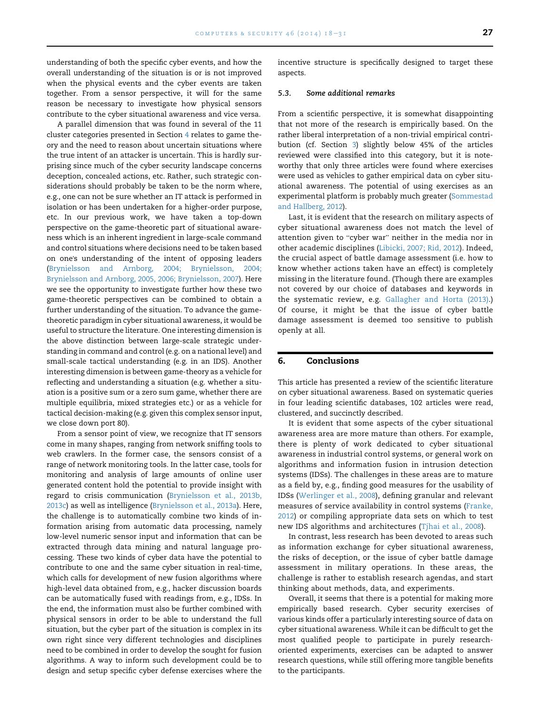<span id="page-9-0"></span>understanding of both the specific cyber events, and how the overall understanding of the situation is or is not improved when the physical events and the cyber events are taken together. From a sensor perspective, it will for the same reason be necessary to investigate how physical sensors contribute to the cyber situational awareness and vice versa.

A parallel dimension that was found in several of the 11 cluster categories presented in Section [4](#page-3-0) relates to game theory and the need to reason about uncertain situations where the true intent of an attacker is uncertain. This is hardly surprising since much of the cyber security landscape concerns deception, concealed actions, etc. Rather, such strategic considerations should probably be taken to be the norm where, e.g., one can not be sure whether an IT attack is performed in isolation or has been undertaken for a higher-order purpose, etc. In our previous work, we have taken a top-down perspective on the game-theoretic part of situational awareness which is an inherent ingredient in large-scale command and control situations where decisions need to be taken based on one's understanding of the intent of opposing leaders [\(Brynielsson and Arnborg, 2004; Brynielsson, 2004;](#page-10-0) [Brynielsson and Arnborg, 2005, 2006; Brynielsson, 2007](#page-10-0)). Here we see the opportunity to investigate further how these two game-theoretic perspectives can be combined to obtain a further understanding of the situation. To advance the gametheoretic paradigm in cyber situational awareness, it would be useful to structure the literature. One interesting dimension is the above distinction between large-scale strategic understanding in command and control (e.g. on a national level) and small-scale tactical understanding (e.g. in an IDS). Another interesting dimension is between game-theory as a vehicle for reflecting and understanding a situation (e.g. whether a situation is a positive sum or a zero sum game, whether there are multiple equilibria, mixed strategies etc.) or as a vehicle for tactical decision-making (e.g. given this complex sensor input, we close down port 80).

From a sensor point of view, we recognize that IT sensors come in many shapes, ranging from network sniffing tools to web crawlers. In the former case, the sensors consist of a range of network monitoring tools. In the latter case, tools for monitoring and analysis of large amounts of online user generated content hold the potential to provide insight with regard to crisis communication [\(Brynielsson et al., 2013b,](#page-10-0) [2013c\)](#page-10-0) as well as intelligence [\(Brynielsson et al., 2013a](#page-10-0)). Here, the challenge is to automatically combine two kinds of information arising from automatic data processing, namely low-level numeric sensor input and information that can be extracted through data mining and natural language processing. These two kinds of cyber data have the potential to contribute to one and the same cyber situation in real-time, which calls for development of new fusion algorithms where high-level data obtained from, e.g., hacker discussion boards can be automatically fused with readings from, e.g., IDSs. In the end, the information must also be further combined with physical sensors in order to be able to understand the full situation, but the cyber part of the situation is complex in its own right since very different technologies and disciplines need to be combined in order to develop the sought for fusion algorithms. A way to inform such development could be to design and setup specific cyber defense exercises where the

incentive structure is specifically designed to target these aspects.

#### 5.3. Some additional remarks

From a scientific perspective, it is somewhat disappointing that not more of the research is empirically based. On the rather liberal interpretation of a non-trivial empirical contribution (cf. Section [3\)](#page-2-0) slightly below 45% of the articles reviewed were classified into this category, but it is noteworthy that only three articles were found where exercises were used as vehicles to gather empirical data on cyber situational awareness. The potential of using exercises as an experimental platform is probably much greater ([Sommestad](#page-13-0) [and Hallberg, 2012\)](#page-13-0).

Last, it is evident that the research on military aspects of cyber situational awareness does not match the level of attention given to "cyber war" neither in the media nor in other academic disciplines [\(Libicki, 2007; Rid, 2012\)](#page-12-0). Indeed, the crucial aspect of battle damage assessment (i.e. how to know whether actions taken have an effect) is completely missing in the literature found. (Though there are examples not covered by our choice of databases and keywords in the systematic review, e.g. [Gallagher and Horta \(2013\)](#page-11-0).) Of course, it might be that the issue of cyber battle damage assessment is deemed too sensitive to publish openly at all.

#### 6. Conclusions

This article has presented a review of the scientific literature on cyber situational awareness. Based on systematic queries in four leading scientific databases, 102 articles were read, clustered, and succinctly described.

It is evident that some aspects of the cyber situational awareness area are more mature than others. For example, there is plenty of work dedicated to cyber situational awareness in industrial control systems, or general work on algorithms and information fusion in intrusion detection systems (IDSs). The challenges in these areas are to mature as a field by, e.g., finding good measures for the usability of IDSs ([Werlinger et al., 2008](#page-13-0)), defining granular and relevant measures of service availability in control systems [\(Franke,](#page-11-0) [2012](#page-11-0)) or compiling appropriate data sets on which to test new IDS algorithms and architectures [\(Tjhai et al., 2008](#page-13-0)).

In contrast, less research has been devoted to areas such as information exchange for cyber situational awareness, the risks of deception, or the issue of cyber battle damage assessment in military operations. In these areas, the challenge is rather to establish research agendas, and start thinking about methods, data, and experiments.

Overall, it seems that there is a potential for making more empirically based research. Cyber security exercises of various kinds offer a particularly interesting source of data on cyber situational awareness. While it can be difficult to get the most qualified people to participate in purely researchoriented experiments, exercises can be adapted to answer research questions, while still offering more tangible benefits to the participants.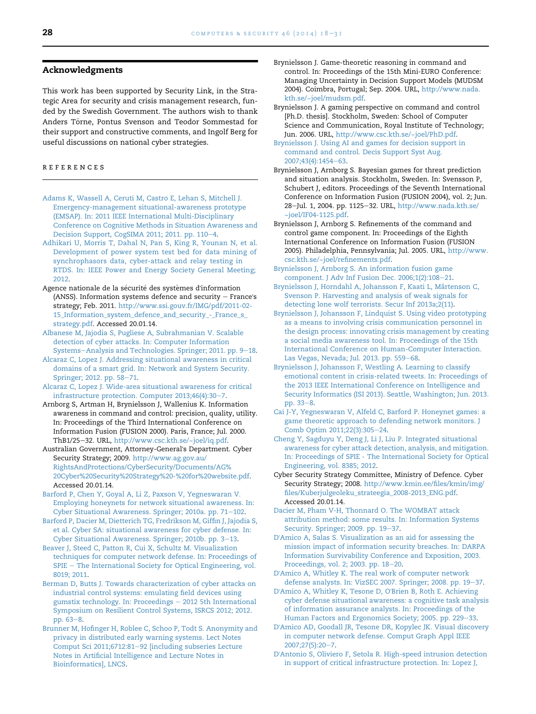## <span id="page-10-0"></span>Acknowledgments

This work has been supported by Security Link, in the Strategic Area for security and crisis management research, funded by the Swedish Government. The authors wish to thank Anders Törne, Pontus Svenson and Teodor Sommestad for their support and constructive comments, and Ingolf Berg for useful discussions on national cyber strategies.

## references

- [Adams K, Wassell A, Ceruti M, Castro E, Lehan S, Mitchell J.](http://refhub.elsevier.com/S0167-4048(14)00101-1/sref1) [Emergency-management situational-awareness prototype](http://refhub.elsevier.com/S0167-4048(14)00101-1/sref1) [\(EMSAP\). In: 2011 IEEE International Multi-Disciplinary](http://refhub.elsevier.com/S0167-4048(14)00101-1/sref1) [Conference on Cognitive Methods in Situation Awareness and](http://refhub.elsevier.com/S0167-4048(14)00101-1/sref1) [Decision Support, CogSIMA 2011; 2011. pp. 110](http://refhub.elsevier.com/S0167-4048(14)00101-1/sref1)-[4.](http://refhub.elsevier.com/S0167-4048(14)00101-1/sref1)
- [Adhikari U, Morris T, Dahal N, Pan S, King R, Younan N, et al.](http://refhub.elsevier.com/S0167-4048(14)00101-1/sref2) [Development of power system test bed for data mining of](http://refhub.elsevier.com/S0167-4048(14)00101-1/sref2) [synchrophasors data, cyber-attack and relay testing in](http://refhub.elsevier.com/S0167-4048(14)00101-1/sref2) [RTDS. In: IEEE Power and Energy Society General Meeting;](http://refhub.elsevier.com/S0167-4048(14)00101-1/sref2) [2012](http://refhub.elsevier.com/S0167-4048(14)00101-1/sref2).
- Agence nationale de la sécurité des systèmes d'information (ANSS). Information systems defence and security  $-$  France's strategy; Feb. 2011. [http://www.ssi.gouv.fr/IMG/pdf/2011-02-](http://www.ssi.gouv.fr/IMG/pdf/2011-02-15_Information_system_defence_and_security_-_France_s_strategy.pdf) [15\\_Information\\_system\\_defence\\_and\\_security\\_-\\_France\\_s\\_](http://www.ssi.gouv.fr/IMG/pdf/2011-02-15_Information_system_defence_and_security_-_France_s_strategy.pdf) [strategy.pdf](http://www.ssi.gouv.fr/IMG/pdf/2011-02-15_Information_system_defence_and_security_-_France_s_strategy.pdf). Accessed 20.01.14.
- [Albanese M, Jajodia S, Pugliese A, Subrahmanian V. Scalable](http://refhub.elsevier.com/S0167-4048(14)00101-1/sref4) [detection of cyber attacks. In: Computer Information](http://refhub.elsevier.com/S0167-4048(14)00101-1/sref4) [Systems](http://refhub.elsevier.com/S0167-4048(14)00101-1/sref4)-[Analysis and Technologies. Springer; 2011. pp. 9](http://refhub.elsevier.com/S0167-4048(14)00101-1/sref4)-[18](http://refhub.elsevier.com/S0167-4048(14)00101-1/sref4).
- [Alcaraz C, Lopez J. Addressing situational awareness in critical](http://refhub.elsevier.com/S0167-4048(14)00101-1/sref5) [domains of a smart grid. In: Network and System Security.](http://refhub.elsevier.com/S0167-4048(14)00101-1/sref5) [Springer; 2012. pp. 58](http://refhub.elsevier.com/S0167-4048(14)00101-1/sref5)-[71](http://refhub.elsevier.com/S0167-4048(14)00101-1/sref5).
- [Alcaraz C, Lopez J. Wide-area situational awareness for critical](http://refhub.elsevier.com/S0167-4048(14)00101-1/sref6) [infrastructure protection. Computer 2013;46\(4\):30](http://refhub.elsevier.com/S0167-4048(14)00101-1/sref6)-[7](http://refhub.elsevier.com/S0167-4048(14)00101-1/sref6).
- Arnborg S, Artman H, Brynielsson J, Wallenius K. Information awareness in command and control: precision, quality, utility. In: Proceedings of the Third International Conference on Information Fusion (FUSION 2000). Paris, France; Jul. 2000. ThB1/25-32. URL, [http://www.csc.kth.se/~joel/iq.pdf](http://www.csc.kth.se/%7Ejoel/iq.pdf).
- Australian Government, Attorney-General's Department. Cyber Security Strategy; 2009. [http://www.ag.gov.au/](http://www.ag.gov.au/RightsAndProtections/CyberSecurity/Documents/AG%20Cyber%20Security%20Strategy%20-%20for%20website.pdf) [RightsAndProtections/CyberSecurity/Documents/AG%](http://www.ag.gov.au/RightsAndProtections/CyberSecurity/Documents/AG%20Cyber%20Security%20Strategy%20-%20for%20website.pdf) [20Cyber%20Security%20Strategy%20-%20for%20website.pdf](http://www.ag.gov.au/RightsAndProtections/CyberSecurity/Documents/AG%20Cyber%20Security%20Strategy%20-%20for%20website.pdf). Accessed 20.01.14.
- [Barford P, Chen Y, Goyal A, Li Z, Paxson V, Yegneswaran V.](http://refhub.elsevier.com/S0167-4048(14)00101-1/sref9) [Employing honeynets for network situational awareness. In:](http://refhub.elsevier.com/S0167-4048(14)00101-1/sref9) [Cyber Situational Awareness. Springer; 2010a. pp. 71](http://refhub.elsevier.com/S0167-4048(14)00101-1/sref9)-[102.](http://refhub.elsevier.com/S0167-4048(14)00101-1/sref9)
- [Barford P, Dacier M, Dietterich TG, Fredrikson M, Giffin J, Jajodia S,](http://refhub.elsevier.com/S0167-4048(14)00101-1/sref10) [et al. Cyber SA: situational awareness for cyber defense. In:](http://refhub.elsevier.com/S0167-4048(14)00101-1/sref10) [Cyber Situational Awareness. Springer; 2010b. pp. 3](http://refhub.elsevier.com/S0167-4048(14)00101-1/sref10)-[13.](http://refhub.elsevier.com/S0167-4048(14)00101-1/sref10)
- [Beaver J, Steed C, Patton R, Cui X, Schultz M. Visualization](http://refhub.elsevier.com/S0167-4048(14)00101-1/sref11) [techniques for computer network defense. In: Proceedings of](http://refhub.elsevier.com/S0167-4048(14)00101-1/sref11) [SPIE](http://refhub.elsevier.com/S0167-4048(14)00101-1/sref11) - [The International Society for Optical Engineering, vol.](http://refhub.elsevier.com/S0167-4048(14)00101-1/sref11) [8019; 2011.](http://refhub.elsevier.com/S0167-4048(14)00101-1/sref11)
- [Berman D, Butts J. Towards characterization of cyber attacks on](http://refhub.elsevier.com/S0167-4048(14)00101-1/sref12) [industrial control systems: emulating field devices using](http://refhub.elsevier.com/S0167-4048(14)00101-1/sref12) [gumstix technology. In: Proceedings](http://refhub.elsevier.com/S0167-4048(14)00101-1/sref12) - [2012 5th International](http://refhub.elsevier.com/S0167-4048(14)00101-1/sref12) [Symposium on Resilient Control Systems, ISRCS 2012; 2012.](http://refhub.elsevier.com/S0167-4048(14)00101-1/sref12) [pp. 63](http://refhub.elsevier.com/S0167-4048(14)00101-1/sref12)-[8](http://refhub.elsevier.com/S0167-4048(14)00101-1/sref12).
- [Brunner M, Hofinger H, Roblee C, Schoo P, Todt S. Anonymity and](http://refhub.elsevier.com/S0167-4048(14)00101-1/sref13) [privacy in distributed early warning systems. Lect Notes](http://refhub.elsevier.com/S0167-4048(14)00101-1/sref13) [Comput Sci 2011;6712:81](http://refhub.elsevier.com/S0167-4048(14)00101-1/sref13)-[92 \[including subseries Lecture](http://refhub.elsevier.com/S0167-4048(14)00101-1/sref13) [Notes in Artificial Intelligence and Lecture Notes in](http://refhub.elsevier.com/S0167-4048(14)00101-1/sref13) [Bioinformatics\], LNCS.](http://refhub.elsevier.com/S0167-4048(14)00101-1/sref13)
- Brynielsson J. Game-theoretic reasoning in command and control. In: Proceedings of the 15th Mini-EURO Conference: Managing Uncertainty in Decision Support Models (MUDSM 2004). Coimbra, Portugal; Sep. 2004. URL, [http://www.nada.](http://www.nada.kth.se/%7Ejoel/mudsm.pdf) [kth.se/~joel/mudsm.pdf](http://www.nada.kth.se/%7Ejoel/mudsm.pdf).
- Brynielsson J. A gaming perspective on command and control [Ph.D. thesis]. Stockholm, Sweden: School of Computer Science and Communication, Royal Institute of Technology; Jun. 2006. URL, [http://www.csc.kth.se/~joel/PhD.pdf.](http://www.csc.kth.se/%7Ejoel/PhD.pdf)
- [Brynielsson J. Using AI and games for decision support in](http://refhub.elsevier.com/S0167-4048(14)00101-1/sref16) [command and control. Decis Support Syst Aug.](http://refhub.elsevier.com/S0167-4048(14)00101-1/sref16) [2007;43\(4\):1454](http://refhub.elsevier.com/S0167-4048(14)00101-1/sref16)-[63](http://refhub.elsevier.com/S0167-4048(14)00101-1/sref16).
- Brynielsson J, Arnborg S. Bayesian games for threat prediction and situation analysis. Stockholm, Sweden. In: Svensson P, Schubert J, editors. Proceedings of the Seventh International Conference on Information Fusion (FUSION 2004), vol. 2; Jun. 28-Jul. 1, 2004. pp. 1125-32. URL, [http://www.nada.kth.se/](http://www.nada.kth.se/%7Ejoel/IF04-1125.pdf) [~joel/IF04-1125.pdf.](http://www.nada.kth.se/%7Ejoel/IF04-1125.pdf)
- Brynielsson J, Arnborg S. Refinements of the command and control game component. In: Proceedings of the Eighth International Conference on Information Fusion (FUSION 2005). Philadelphia, Pennsylvania; Jul. 2005. URL, [http://www.](http://www.csc.kth.se/%7Ejoel/refinements.pdf) [csc.kth.se/~joel/refinements.pdf](http://www.csc.kth.se/%7Ejoel/refinements.pdf).
- [Brynielsson J, Arnborg S. An information fusion game](http://refhub.elsevier.com/S0167-4048(14)00101-1/sref19) component. J Adv Inf Fusion Dec.  $2006;1(2):108-21$ .
- Brynielsson J, Horndahl A, Johansson F, Kaati L, Mårtenson C, [Svenson P. Harvesting and analysis of weak signals for](http://refhub.elsevier.com/S0167-4048(14)00101-1/sref20) [detecting lone wolf terrorists. Secur Inf 2013a;2\(11\).](http://refhub.elsevier.com/S0167-4048(14)00101-1/sref20)
- [Brynielsson J, Johansson F, Lindquist S. Using video prototyping](http://refhub.elsevier.com/S0167-4048(14)00101-1/sref21) [as a means to involving crisis communication personnel in](http://refhub.elsevier.com/S0167-4048(14)00101-1/sref21) [the design process: innovating crisis management by creating](http://refhub.elsevier.com/S0167-4048(14)00101-1/sref21) [a social media awareness tool. In: Proceedings of the 15th](http://refhub.elsevier.com/S0167-4048(14)00101-1/sref21) [International Conference on Human-Computer Interaction.](http://refhub.elsevier.com/S0167-4048(14)00101-1/sref21) [Las Vegas, Nevada; Jul. 2013. pp. 559](http://refhub.elsevier.com/S0167-4048(14)00101-1/sref21)-[68.](http://refhub.elsevier.com/S0167-4048(14)00101-1/sref21)
- [Brynielsson J, Johansson F, Westling A. Learning to classify](http://refhub.elsevier.com/S0167-4048(14)00101-1/sref22) [emotional content in crisis-related tweets. In: Proceedings of](http://refhub.elsevier.com/S0167-4048(14)00101-1/sref22) [the 2013 IEEE International Conference on Intelligence and](http://refhub.elsevier.com/S0167-4048(14)00101-1/sref22) [Security Informatics \(ISI 2013\). Seattle, Washington; Jun. 2013.](http://refhub.elsevier.com/S0167-4048(14)00101-1/sref22) [pp. 33](http://refhub.elsevier.com/S0167-4048(14)00101-1/sref22)-[8](http://refhub.elsevier.com/S0167-4048(14)00101-1/sref22).
- [Cai J-Y, Yegneswaran V, Alfeld C, Barford P. Honeynet games: a](http://refhub.elsevier.com/S0167-4048(14)00101-1/sref23) [game theoretic approach to defending network monitors. J](http://refhub.elsevier.com/S0167-4048(14)00101-1/sref23) [Comb Optim 2011;22\(3\):305](http://refhub.elsevier.com/S0167-4048(14)00101-1/sref23)-[24.](http://refhub.elsevier.com/S0167-4048(14)00101-1/sref23)
- [Cheng Y, Sagduyu Y, Deng J, Li J, Liu P. Integrated situational](http://refhub.elsevier.com/S0167-4048(14)00101-1/sref24) [awareness for cyber attack detection, analysis, and mitigation.](http://refhub.elsevier.com/S0167-4048(14)00101-1/sref24) [In: Proceedings of SPIE - The International Society for Optical](http://refhub.elsevier.com/S0167-4048(14)00101-1/sref24) [Engineering, vol. 8385; 2012.](http://refhub.elsevier.com/S0167-4048(14)00101-1/sref24)
- Cyber Security Strategy Committee, Ministry of Defence. Cyber Security Strategy; 2008. [http://www.kmin.ee/files/kmin/img/](http://www.kmin.ee/files/kmin/img/files/Kuberjulgeoleku_strateegia_2008-2013_ENG.pdf) [files/Kuberjulgeoleku\\_strateegia\\_2008-2013\\_ENG.pdf.](http://www.kmin.ee/files/kmin/img/files/Kuberjulgeoleku_strateegia_2008-2013_ENG.pdf) Accessed 20.01.14.
- [Dacier M, Pham V-H, Thonnard O. The WOMBAT attack](http://refhub.elsevier.com/S0167-4048(14)00101-1/sref26) [attribution method: some results. In: Information Systems](http://refhub.elsevier.com/S0167-4048(14)00101-1/sref26) [Security. Springer; 2009. pp. 19](http://refhub.elsevier.com/S0167-4048(14)00101-1/sref26)-[37.](http://refhub.elsevier.com/S0167-4048(14)00101-1/sref26)
- D'[Amico A, Salas S. Visualization as an aid for assessing the](http://refhub.elsevier.com/S0167-4048(14)00101-1/sref27) [mission impact of information security breaches. In: DARPA](http://refhub.elsevier.com/S0167-4048(14)00101-1/sref27) [Information Survivability Conference and Exposition, 2003.](http://refhub.elsevier.com/S0167-4048(14)00101-1/sref27) [Proceedings, vol. 2; 2003. pp. 18](http://refhub.elsevier.com/S0167-4048(14)00101-1/sref27)-[20](http://refhub.elsevier.com/S0167-4048(14)00101-1/sref27).
- D'[Amico A, Whitley K. The real work of computer network](http://refhub.elsevier.com/S0167-4048(14)00101-1/sref35) [defense analysts. In: VizSEC 2007. Springer; 2008. pp. 19](http://refhub.elsevier.com/S0167-4048(14)00101-1/sref35)-[37.](http://refhub.elsevier.com/S0167-4048(14)00101-1/sref35)
- D'[Amico A, Whitley K, Tesone D, O](http://refhub.elsevier.com/S0167-4048(14)00101-1/sref28)'Brien B, Roth E. Achieving [cyber defense situational awareness: a cognitive task analysis](http://refhub.elsevier.com/S0167-4048(14)00101-1/sref28) [of information assurance analysts. In: Proceedings of the](http://refhub.elsevier.com/S0167-4048(14)00101-1/sref28) [Human Factors and Ergonomics Society; 2005. pp. 229](http://refhub.elsevier.com/S0167-4048(14)00101-1/sref28)-[33](http://refhub.elsevier.com/S0167-4048(14)00101-1/sref28).
- D'[Amico AD, Goodall JR, Tesone DR, Kopylec JK. Visual discovery](http://refhub.elsevier.com/S0167-4048(14)00101-1/sref29) [in computer network defense. Comput Graph Appl IEEE](http://refhub.elsevier.com/S0167-4048(14)00101-1/sref29) [2007;27\(5\):20](http://refhub.elsevier.com/S0167-4048(14)00101-1/sref29)-[7](http://refhub.elsevier.com/S0167-4048(14)00101-1/sref29).
- D'[Antonio S, Oliviero F, Setola R. High-speed intrusion detection](http://refhub.elsevier.com/S0167-4048(14)00101-1/sref30) [in support of critical infrastructure protection. In: Lopez J,](http://refhub.elsevier.com/S0167-4048(14)00101-1/sref30)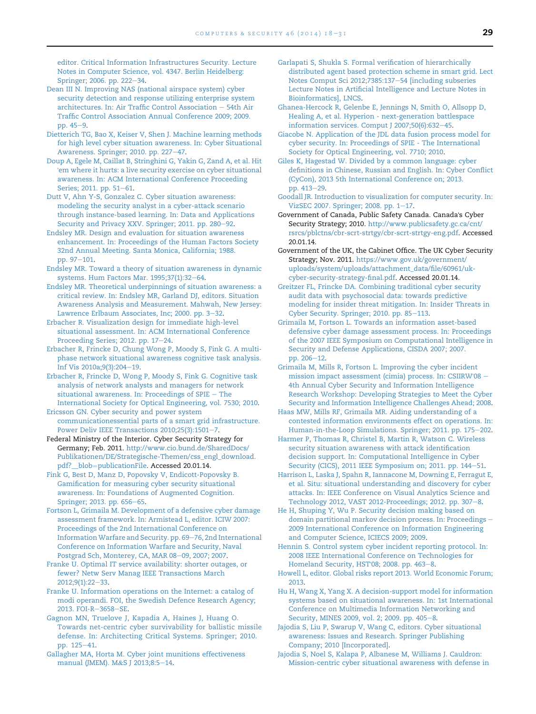<span id="page-11-0"></span>[editor. Critical Information Infrastructures Security. Lecture](http://refhub.elsevier.com/S0167-4048(14)00101-1/sref30) [Notes in Computer Science, vol. 4347. Berlin Heidelberg:](http://refhub.elsevier.com/S0167-4048(14)00101-1/sref30) [Springer; 2006. pp. 222](http://refhub.elsevier.com/S0167-4048(14)00101-1/sref30)-[34.](http://refhub.elsevier.com/S0167-4048(14)00101-1/sref30)

- [Dean III N. Improving NAS \(national airspace system\) cyber](http://refhub.elsevier.com/S0167-4048(14)00101-1/sref31) [security detection and response utilizing enterprise system](http://refhub.elsevier.com/S0167-4048(14)00101-1/sref31) [architectures. In: Air Traffic Control Association](http://refhub.elsevier.com/S0167-4048(14)00101-1/sref31)  $-$  [54th Air](http://refhub.elsevier.com/S0167-4048(14)00101-1/sref31) [Traffic Control Association Annual Conference 2009; 2009.](http://refhub.elsevier.com/S0167-4048(14)00101-1/sref31) [pp. 45](http://refhub.elsevier.com/S0167-4048(14)00101-1/sref31)-[9.](http://refhub.elsevier.com/S0167-4048(14)00101-1/sref31)
- [Dietterich TG, Bao X, Keiser V, Shen J. Machine learning methods](http://refhub.elsevier.com/S0167-4048(14)00101-1/sref32) [for high level cyber situation awareness. In: Cyber Situational](http://refhub.elsevier.com/S0167-4048(14)00101-1/sref32) [Awareness. Springer; 2010. pp. 227](http://refhub.elsevier.com/S0167-4048(14)00101-1/sref32)-[47.](http://refhub.elsevier.com/S0167-4048(14)00101-1/sref32)
- [Doup A, Egele M, Caillat B, Stringhini G, Yakin G, Zand A, et al. Hit](http://refhub.elsevier.com/S0167-4048(14)00101-1/sref33) '[em where it hurts: a live security exercise on cyber situational](http://refhub.elsevier.com/S0167-4048(14)00101-1/sref33) [awareness. In: ACM International Conference Proceeding](http://refhub.elsevier.com/S0167-4048(14)00101-1/sref33) [Series; 2011. pp. 51](http://refhub.elsevier.com/S0167-4048(14)00101-1/sref33)-[61.](http://refhub.elsevier.com/S0167-4048(14)00101-1/sref33)
- [Dutt V, Ahn Y-S, Gonzalez C. Cyber situation awareness:](http://refhub.elsevier.com/S0167-4048(14)00101-1/sref34) [modeling the security analyst in a cyber-attack scenario](http://refhub.elsevier.com/S0167-4048(14)00101-1/sref34) [through instance-based learning. In: Data and Applications](http://refhub.elsevier.com/S0167-4048(14)00101-1/sref34) [Security and Privacy XXV. Springer; 2011. pp. 280](http://refhub.elsevier.com/S0167-4048(14)00101-1/sref34)-[92](http://refhub.elsevier.com/S0167-4048(14)00101-1/sref34).
- [Endsley MR. Design and evaluation for situation awareness](http://refhub.elsevier.com/S0167-4048(14)00101-1/sref36) [enhancement. In: Proceedings of the Human Factors Society](http://refhub.elsevier.com/S0167-4048(14)00101-1/sref36) [32nd Annual Meeting. Santa Monica, California; 1988.](http://refhub.elsevier.com/S0167-4048(14)00101-1/sref36) [pp. 97](http://refhub.elsevier.com/S0167-4048(14)00101-1/sref36)-[101](http://refhub.elsevier.com/S0167-4048(14)00101-1/sref36).
- [Endsley MR. Toward a theory of situation awareness in dynamic](http://refhub.elsevier.com/S0167-4048(14)00101-1/sref37) [systems. Hum Factors Mar. 1995;37\(1\):32](http://refhub.elsevier.com/S0167-4048(14)00101-1/sref37)-[64](http://refhub.elsevier.com/S0167-4048(14)00101-1/sref37).
- [Endsley MR. Theoretical underpinnings of situation awareness: a](http://refhub.elsevier.com/S0167-4048(14)00101-1/sref38) [critical review. In: Endsley MR, Garland DJ, editors. Situation](http://refhub.elsevier.com/S0167-4048(14)00101-1/sref38) [Awareness Analysis and Measurement. Mahwah, New Jersey:](http://refhub.elsevier.com/S0167-4048(14)00101-1/sref38) [Lawrence Erlbaum Associates, Inc; 2000. pp. 3](http://refhub.elsevier.com/S0167-4048(14)00101-1/sref38)-[32](http://refhub.elsevier.com/S0167-4048(14)00101-1/sref38).
- [Erbacher R. Visualization design for immediate high-level](http://refhub.elsevier.com/S0167-4048(14)00101-1/sref39) [situational assessment. In: ACM International Conference](http://refhub.elsevier.com/S0167-4048(14)00101-1/sref39) [Proceeding Series; 2012. pp. 17](http://refhub.elsevier.com/S0167-4048(14)00101-1/sref39)-[24](http://refhub.elsevier.com/S0167-4048(14)00101-1/sref39).
- [Erbacher R, Frincke D, Chung Wong P, Moody S, Fink G. A multi](http://refhub.elsevier.com/S0167-4048(14)00101-1/sref40)[phase network situational awareness cognitive task analysis.](http://refhub.elsevier.com/S0167-4048(14)00101-1/sref40) [Inf Vis 2010a;9\(3\):204](http://refhub.elsevier.com/S0167-4048(14)00101-1/sref40)-[19.](http://refhub.elsevier.com/S0167-4048(14)00101-1/sref40)
- [Erbacher R, Frincke D, Wong P, Moody S, Fink G. Cognitive task](http://refhub.elsevier.com/S0167-4048(14)00101-1/sref41) [analysis of network analysts and managers for network](http://refhub.elsevier.com/S0167-4048(14)00101-1/sref41) situational awareness. In: Proceedings of  $SPIE$  - [The](http://refhub.elsevier.com/S0167-4048(14)00101-1/sref41) [International Society for Optical Engineering, vol. 7530; 2010](http://refhub.elsevier.com/S0167-4048(14)00101-1/sref41).
- [Ericsson GN. Cyber security and power system](http://refhub.elsevier.com/S0167-4048(14)00101-1/sref42) [communicationessential parts of a smart grid infrastructure.](http://refhub.elsevier.com/S0167-4048(14)00101-1/sref42) [Power Deliv IEEE Transactions 2010;25\(3\):1501](http://refhub.elsevier.com/S0167-4048(14)00101-1/sref42)-[7](http://refhub.elsevier.com/S0167-4048(14)00101-1/sref42).
- Federal Ministry of the Interior. Cyber Security Strategy for Germany; Feb. 2011. [http://www.cio.bund.de/SharedDocs/](http://www.cio.bund.de/SharedDocs/Publikationen/DE/Strategische-Themen/css_engl_download.pdf?__blob=publicationFile) [Publikationen/DE/Strategische-Themen/css\\_engl\\_download.](http://www.cio.bund.de/SharedDocs/Publikationen/DE/Strategische-Themen/css_engl_download.pdf?__blob=publicationFile) pdf?\_blob=[publicationFile.](http://www.cio.bund.de/SharedDocs/Publikationen/DE/Strategische-Themen/css_engl_download.pdf?__blob=publicationFile) Accessed 20.01.14.
- [Fink G, Best D, Manz D, Popovsky V, Endicott-Popovsky B.](http://refhub.elsevier.com/S0167-4048(14)00101-1/sref44) [Gamification for measuring cyber security situational](http://refhub.elsevier.com/S0167-4048(14)00101-1/sref44) [awareness. In: Foundations of Augmented Cognition.](http://refhub.elsevier.com/S0167-4048(14)00101-1/sref44) [Springer; 2013. pp. 656](http://refhub.elsevier.com/S0167-4048(14)00101-1/sref44)-[65.](http://refhub.elsevier.com/S0167-4048(14)00101-1/sref44)
- [Fortson L, Grimaila M. Development of a defensive cyber damage](http://refhub.elsevier.com/S0167-4048(14)00101-1/sref45) [assessment framework. In: Armistead L, editor. ICIW 2007:](http://refhub.elsevier.com/S0167-4048(14)00101-1/sref45) [Proceedings of the 2nd International Conference on](http://refhub.elsevier.com/S0167-4048(14)00101-1/sref45) [Information Warfare and Security. pp. 69](http://refhub.elsevier.com/S0167-4048(14)00101-1/sref45)-[76, 2nd International](http://refhub.elsevier.com/S0167-4048(14)00101-1/sref45) [Conference on Information Warfare and Security, Naval](http://refhub.elsevier.com/S0167-4048(14)00101-1/sref45) [Postgrad Sch, Monterey, CA, MAR 08](http://refhub.elsevier.com/S0167-4048(14)00101-1/sref45)-[09, 2007; 2007.](http://refhub.elsevier.com/S0167-4048(14)00101-1/sref45)
- [Franke U. Optimal IT service availability: shorter outages, or](http://refhub.elsevier.com/S0167-4048(14)00101-1/sref46) [fewer? Netw Serv Manag IEEE Transactions March](http://refhub.elsevier.com/S0167-4048(14)00101-1/sref46) [2012;9\(1\):22](http://refhub.elsevier.com/S0167-4048(14)00101-1/sref46)-[33.](http://refhub.elsevier.com/S0167-4048(14)00101-1/sref46)
- [Franke U. Information operations on the Internet: a catalog of](http://refhub.elsevier.com/S0167-4048(14)00101-1/sref47) [modi operandi. FOI, the Swedish Defence Research Agency;](http://refhub.elsevier.com/S0167-4048(14)00101-1/sref47) [2013. FOI-R](http://refhub.elsevier.com/S0167-4048(14)00101-1/sref47)-[3658](http://refhub.elsevier.com/S0167-4048(14)00101-1/sref47)-[SE.](http://refhub.elsevier.com/S0167-4048(14)00101-1/sref47)
- [Gagnon MN, Truelove J, Kapadia A, Haines J, Huang O.](http://refhub.elsevier.com/S0167-4048(14)00101-1/sref48) [Towards net-centric cyber survivability for ballistic missile](http://refhub.elsevier.com/S0167-4048(14)00101-1/sref48) [defense. In: Architecting Critical Systems. Springer; 2010.](http://refhub.elsevier.com/S0167-4048(14)00101-1/sref48) [pp. 125](http://refhub.elsevier.com/S0167-4048(14)00101-1/sref48)-[41.](http://refhub.elsevier.com/S0167-4048(14)00101-1/sref48)
- [Gallagher MA, Horta M. Cyber joint munitions effectiveness](http://refhub.elsevier.com/S0167-4048(14)00101-1/sref49) [manual \(JMEM\). M](http://refhub.elsevier.com/S0167-4048(14)00101-1/sref49)&[S J 2013;8:5](http://refhub.elsevier.com/S0167-4048(14)00101-1/sref49)-[14.](http://refhub.elsevier.com/S0167-4048(14)00101-1/sref49)
- [Garlapati S, Shukla S. Formal verification of hierarchically](http://refhub.elsevier.com/S0167-4048(14)00101-1/sref50) [distributed agent based protection scheme in smart grid. Lect](http://refhub.elsevier.com/S0167-4048(14)00101-1/sref50) [Notes Comput Sci 2012;7385:137](http://refhub.elsevier.com/S0167-4048(14)00101-1/sref50)-[54 \[including subseries](http://refhub.elsevier.com/S0167-4048(14)00101-1/sref50) [Lecture Notes in Artificial Intelligence and Lecture Notes in](http://refhub.elsevier.com/S0167-4048(14)00101-1/sref50) [Bioinformatics\], LNCS](http://refhub.elsevier.com/S0167-4048(14)00101-1/sref50).
- [Ghanea-Hercock R, Gelenbe E, Jennings N, Smith O, Allsopp D,](http://refhub.elsevier.com/S0167-4048(14)00101-1/sref51) [Healing A, et al. Hyperion - next-generation battlespace](http://refhub.elsevier.com/S0167-4048(14)00101-1/sref51) information services. Comput J  $2007;50(6):632-45$  $2007;50(6):632-45$ .
- [Giacobe N. Application of the JDL data fusion process model for](http://refhub.elsevier.com/S0167-4048(14)00101-1/sref52) [cyber security. In: Proceedings of SPIE - The International](http://refhub.elsevier.com/S0167-4048(14)00101-1/sref52) [Society for Optical Engineering, vol. 7710; 2010.](http://refhub.elsevier.com/S0167-4048(14)00101-1/sref52)
- [Giles K, Hagestad W. Divided by a common language: cyber](http://refhub.elsevier.com/S0167-4048(14)00101-1/sref53) [definitions in Chinese, Russian and English. In: Cyber Conflict](http://refhub.elsevier.com/S0167-4048(14)00101-1/sref53) [\(CyCon\), 2013 5th International Conference on; 2013.](http://refhub.elsevier.com/S0167-4048(14)00101-1/sref53) [pp. 413](http://refhub.elsevier.com/S0167-4048(14)00101-1/sref53)-[29](http://refhub.elsevier.com/S0167-4048(14)00101-1/sref53).
- [Goodall JR. Introduction to visualization for computer security. In:](http://refhub.elsevier.com/S0167-4048(14)00101-1/sref54) [VizSEC 2007. Springer; 2008. pp. 1](http://refhub.elsevier.com/S0167-4048(14)00101-1/sref54)-[17.](http://refhub.elsevier.com/S0167-4048(14)00101-1/sref54)
- Government of Canada, Public Safety Canada. Canada's Cyber Security Strategy; 2010. [http://www.publicsafety.gc.ca/cnt/](http://www.publicsafety.gc.ca/cnt/rsrcs/pblctns/cbr-scrt-strtgy/cbr-scrt-strtgy-eng.pdf) [rsrcs/pblctns/cbr-scrt-strtgy/cbr-scrt-strtgy-eng.pdf](http://www.publicsafety.gc.ca/cnt/rsrcs/pblctns/cbr-scrt-strtgy/cbr-scrt-strtgy-eng.pdf). Accessed 20.01.14.
- Government of the UK, the Cabinet Office. The UK Cyber Security Strategy; Nov. 2011. [https://www.gov.uk/government/](https://www.gov.uk/government/uploads/system/uploads/attachment_data/file/60961/uk-cyber-security-strategy-final.pdf) [uploads/system/uploads/attachment\\_data/file/60961/uk](https://www.gov.uk/government/uploads/system/uploads/attachment_data/file/60961/uk-cyber-security-strategy-final.pdf)[cyber-security-strategy-final.pdf](https://www.gov.uk/government/uploads/system/uploads/attachment_data/file/60961/uk-cyber-security-strategy-final.pdf). Accessed 20.01.14.
- [Greitzer FL, Frincke DA. Combining traditional cyber security](http://refhub.elsevier.com/S0167-4048(14)00101-1/sref57) [audit data with psychosocial data: towards predictive](http://refhub.elsevier.com/S0167-4048(14)00101-1/sref57) [modeling for insider threat mitigation. In: Insider Threats in](http://refhub.elsevier.com/S0167-4048(14)00101-1/sref57) [Cyber Security. Springer; 2010. pp. 85](http://refhub.elsevier.com/S0167-4048(14)00101-1/sref57)-[113](http://refhub.elsevier.com/S0167-4048(14)00101-1/sref57).
- [Grimaila M, Fortson L. Towards an information asset-based](http://refhub.elsevier.com/S0167-4048(14)00101-1/sref58) [defensive cyber damage assessment process. In: Proceedings](http://refhub.elsevier.com/S0167-4048(14)00101-1/sref58) [of the 2007 IEEE Symposium on Computational Intelligence in](http://refhub.elsevier.com/S0167-4048(14)00101-1/sref58) [Security and Defense Applications, CISDA 2007; 2007.](http://refhub.elsevier.com/S0167-4048(14)00101-1/sref58) [pp. 206](http://refhub.elsevier.com/S0167-4048(14)00101-1/sref58)-[12](http://refhub.elsevier.com/S0167-4048(14)00101-1/sref58).
- [Grimaila M, Mills R, Fortson L. Improving the cyber incident](http://refhub.elsevier.com/S0167-4048(14)00101-1/sref59) [mission impact assessment \(cimia\) process. In: CSIIRW](http://refhub.elsevier.com/S0167-4048(14)00101-1/sref59)'08  $-$ [4th Annual Cyber Security and Information Intelligence](http://refhub.elsevier.com/S0167-4048(14)00101-1/sref59) [Research Workshop: Developing Strategies to Meet the Cyber](http://refhub.elsevier.com/S0167-4048(14)00101-1/sref59) [Security and Information Intelligence Challenges Ahead; 2008.](http://refhub.elsevier.com/S0167-4048(14)00101-1/sref59)
- [Haas MW, Mills RF, Grimaila MR. Aiding understanding of a](http://refhub.elsevier.com/S0167-4048(14)00101-1/sref60) [contested information environments effect on operations. In:](http://refhub.elsevier.com/S0167-4048(14)00101-1/sref60) [Human-in-the-Loop Simulations. Springer; 2011. pp. 175](http://refhub.elsevier.com/S0167-4048(14)00101-1/sref60)-[202.](http://refhub.elsevier.com/S0167-4048(14)00101-1/sref60)
- [Harmer P, Thomas R, Christel B, Martin R, Watson C. Wireless](http://refhub.elsevier.com/S0167-4048(14)00101-1/sref61) [security situation awareness with attack identification](http://refhub.elsevier.com/S0167-4048(14)00101-1/sref61) [decision support. In: Computational Intelligence in Cyber](http://refhub.elsevier.com/S0167-4048(14)00101-1/sref61) [Security \(CICS\), 2011 IEEE Symposium on; 2011. pp. 144](http://refhub.elsevier.com/S0167-4048(14)00101-1/sref61)-[51](http://refhub.elsevier.com/S0167-4048(14)00101-1/sref61).
- [Harrison L, Laska J, Spahn R, Iannacone M, Downing E, Ferragut E,](http://refhub.elsevier.com/S0167-4048(14)00101-1/sref62) [et al. Situ: situational understanding and discovery for cyber](http://refhub.elsevier.com/S0167-4048(14)00101-1/sref62) [attacks. In: IEEE Conference on Visual Analytics Science and](http://refhub.elsevier.com/S0167-4048(14)00101-1/sref62) [Technology 2012, VAST 2012-Proceedings; 2012. pp. 307](http://refhub.elsevier.com/S0167-4048(14)00101-1/sref62)-[8](http://refhub.elsevier.com/S0167-4048(14)00101-1/sref62).
- [He H, Shuping Y, Wu P. Security decision making based on](http://refhub.elsevier.com/S0167-4048(14)00101-1/sref63) [domain partitional markov decision process. In: Proceedings](http://refhub.elsevier.com/S0167-4048(14)00101-1/sref63) -[2009 International Conference on Information Engineering](http://refhub.elsevier.com/S0167-4048(14)00101-1/sref63) [and Computer Science, ICIECS 2009; 2009](http://refhub.elsevier.com/S0167-4048(14)00101-1/sref63).
- [Hennin S. Control system cyber incident reporting protocol. In:](http://refhub.elsevier.com/S0167-4048(14)00101-1/sref64) [2008 IEEE International Conference on Technologies for](http://refhub.elsevier.com/S0167-4048(14)00101-1/sref64) [Homeland Security, HST](http://refhub.elsevier.com/S0167-4048(14)00101-1/sref64)'08; 200[8.](http://refhub.elsevier.com/S0167-4048(14)00101-1/sref64) pp. 463-8.
- [Howell L, editor. Global risks report 2013. World Economic Forum;](http://refhub.elsevier.com/S0167-4048(14)00101-1/sref65) [2013](http://refhub.elsevier.com/S0167-4048(14)00101-1/sref65).
- [Hu H, Wang X, Yang X. A decision-support model for information](http://refhub.elsevier.com/S0167-4048(14)00101-1/sref66) [systems based on situational awareness. In: 1st International](http://refhub.elsevier.com/S0167-4048(14)00101-1/sref66) [Conference on Multimedia Information Networking and](http://refhub.elsevier.com/S0167-4048(14)00101-1/sref66) [Security, MINES 2009, vol. 2; 2009. pp. 405](http://refhub.elsevier.com/S0167-4048(14)00101-1/sref66)-[8.](http://refhub.elsevier.com/S0167-4048(14)00101-1/sref66)
- [Jajodia S, Liu P, Swarup V, Wang C, editors. Cyber situational](http://refhub.elsevier.com/S0167-4048(14)00101-1/sref67) [awareness: Issues and Research. Springer Publishing](http://refhub.elsevier.com/S0167-4048(14)00101-1/sref67) [Company; 2010 \[Incorporated\].](http://refhub.elsevier.com/S0167-4048(14)00101-1/sref67)
- [Jajodia S, Noel S, Kalapa P, Albanese M, Williams J. Cauldron:](http://refhub.elsevier.com/S0167-4048(14)00101-1/sref68) [Mission-centric cyber situational awareness with defense in](http://refhub.elsevier.com/S0167-4048(14)00101-1/sref68)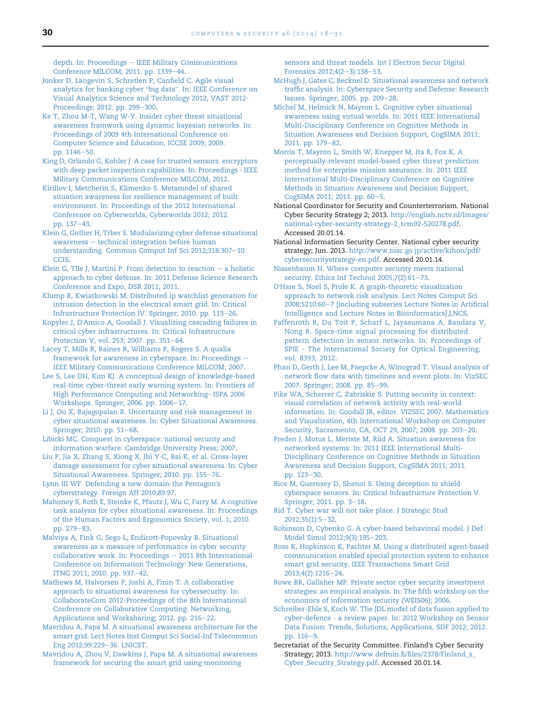<span id="page-12-0"></span> $depth. In: Proceedings - IEEE Military Communications$  $depth. In: Proceedings - IEEE Military Communications$  $depth. In: Proceedings - IEEE Military Communications$ [Conference MILCOM; 2011. pp. 1339](http://refhub.elsevier.com/S0167-4048(14)00101-1/sref68)-[44.](http://refhub.elsevier.com/S0167-4048(14)00101-1/sref68)

- [Jonker D, Langevin S, Schretlen P, Canfield C. Agile visual](http://refhub.elsevier.com/S0167-4048(14)00101-1/sref69) [analytics for banking cyber](http://refhub.elsevier.com/S0167-4048(14)00101-1/sref69) "big data". In: IEEE Conference on [Visual Analytics Science and Technology 2012, VAST 2012-](http://refhub.elsevier.com/S0167-4048(14)00101-1/sref69) [Proceedings; 2012. pp. 299](http://refhub.elsevier.com/S0167-4048(14)00101-1/sref69)-[300](http://refhub.elsevier.com/S0167-4048(14)00101-1/sref69).
- [Ke T, Zhou M-T, Wang W-Y. Insider cyber threat situational](http://refhub.elsevier.com/S0167-4048(14)00101-1/sref70) [awareness framwork using dynamic bayesian networks. In:](http://refhub.elsevier.com/S0167-4048(14)00101-1/sref70) [Proceedings of 2009 4th International Conference on](http://refhub.elsevier.com/S0167-4048(14)00101-1/sref70) [Computer Science and Education, ICCSE 2009; 2009.](http://refhub.elsevier.com/S0167-4048(14)00101-1/sref70) [pp. 1146](http://refhub.elsevier.com/S0167-4048(14)00101-1/sref70)-[50.](http://refhub.elsevier.com/S0167-4048(14)00101-1/sref70)
- [King D, Orlando G, Kohler J. A case for trusted sensors: encryptors](http://refhub.elsevier.com/S0167-4048(14)00101-1/sref71) [with deep packet inspection capabilities. In: Proceedings - IEEE](http://refhub.elsevier.com/S0167-4048(14)00101-1/sref71) [Military Communications Conference MILCOM; 2012.](http://refhub.elsevier.com/S0167-4048(14)00101-1/sref71)

[Kirillov I, Metcherin S, Klimenko S. Metamodel of shared](http://refhub.elsevier.com/S0167-4048(14)00101-1/sref72) [situation awareness for resilience management of built](http://refhub.elsevier.com/S0167-4048(14)00101-1/sref72) [environment. In: Proceedings of the 2012 International](http://refhub.elsevier.com/S0167-4048(14)00101-1/sref72) [Conference on Cyberworlds, Cyberworlds 2012; 2012.](http://refhub.elsevier.com/S0167-4048(14)00101-1/sref72) [pp. 137](http://refhub.elsevier.com/S0167-4048(14)00101-1/sref72)-[43](http://refhub.elsevier.com/S0167-4048(14)00101-1/sref72).

- [Klein G, Gnther H, Trber S. Modularizing cyber defense situational](http://refhub.elsevier.com/S0167-4048(14)00101-1/sref73) [awareness](http://refhub.elsevier.com/S0167-4048(14)00101-1/sref73) - [technical integration before human](http://refhub.elsevier.com/S0167-4048(14)00101-1/sref73) [understanding. Commun Comput Inf Sci 2012;318:307](http://refhub.elsevier.com/S0167-4048(14)00101-1/sref73)-[10.](http://refhub.elsevier.com/S0167-4048(14)00101-1/sref73) [CCIS](http://refhub.elsevier.com/S0167-4048(14)00101-1/sref73).
- [Klein G, Tlle J, Martini P. From detection to reaction](http://refhub.elsevier.com/S0167-4048(14)00101-1/sref74)  $-$  [a holistic](http://refhub.elsevier.com/S0167-4048(14)00101-1/sref74) [approach to cyber defense. In: 2011 Defense Science Research](http://refhub.elsevier.com/S0167-4048(14)00101-1/sref74) [Conference and Expo, DSR 2011; 2011.](http://refhub.elsevier.com/S0167-4048(14)00101-1/sref74)
- [Klump R, Kwiatkowski M. Distributed ip watchlist generation for](http://refhub.elsevier.com/S0167-4048(14)00101-1/sref75) [intrusion detection in the electrical smart grid. In: Critical](http://refhub.elsevier.com/S0167-4048(14)00101-1/sref75) [Infrastructure Protection IV. Springer; 2010. pp. 113](http://refhub.elsevier.com/S0167-4048(14)00101-1/sref75)-[26](http://refhub.elsevier.com/S0167-4048(14)00101-1/sref75).

Kopylec J, D'[Amico A, Goodall J. Visualizing cascading failures in](http://refhub.elsevier.com/S0167-4048(14)00101-1/sref76) [critical cyber infrastructures. In: Critical Infrastructure](http://refhub.elsevier.com/S0167-4048(14)00101-1/sref76) [Protection V, vol. 253; 2007. pp. 351](http://refhub.elsevier.com/S0167-4048(14)00101-1/sref76)-[64](http://refhub.elsevier.com/S0167-4048(14)00101-1/sref76).

- [Lacey T, Mills R, Raines R, Williams P, Rogers S. A qualia](http://refhub.elsevier.com/S0167-4048(14)00101-1/sref77) [framework for awareness in cyberspace. In: Proceedings](http://refhub.elsevier.com/S0167-4048(14)00101-1/sref77) -[IEEE Military Communications Conference MILCOM; 2007.](http://refhub.elsevier.com/S0167-4048(14)00101-1/sref77)
- [Lee S, Lee DH, Kim KJ. A conceptual design of knowledge-based](http://refhub.elsevier.com/S0167-4048(14)00101-1/sref78) [real-time cyber-threat early warning system. In: Frontiers of](http://refhub.elsevier.com/S0167-4048(14)00101-1/sref78) [High Performance Computing and Networking](http://refhub.elsevier.com/S0167-4048(14)00101-1/sref78)-[ISPA 2006](http://refhub.elsevier.com/S0167-4048(14)00101-1/sref78) [Workshops. Springer; 2006. pp. 1006](http://refhub.elsevier.com/S0167-4048(14)00101-1/sref78)-[17.](http://refhub.elsevier.com/S0167-4048(14)00101-1/sref78)
- [Li J, Ou X, Rajagopalan R. Uncertainty and risk management in](http://refhub.elsevier.com/S0167-4048(14)00101-1/sref79) [cyber situational awareness. In: Cyber Situational Awareness.](http://refhub.elsevier.com/S0167-4048(14)00101-1/sref79) [Springer; 2010. pp. 51](http://refhub.elsevier.com/S0167-4048(14)00101-1/sref79)-[68](http://refhub.elsevier.com/S0167-4048(14)00101-1/sref79).
- [Libicki MC. Conquest in cyberspace: national security and](http://refhub.elsevier.com/S0167-4048(14)00101-1/sref80) [information warfare. Cambridge University Press; 2007.](http://refhub.elsevier.com/S0167-4048(14)00101-1/sref80)

[Liu P, Jia X, Zhang S, Xiong X, Jhi Y-C, Bai K, et al. Cross-layer](http://refhub.elsevier.com/S0167-4048(14)00101-1/sref81) [damage assessment for cyber situational awareness. In: Cyber](http://refhub.elsevier.com/S0167-4048(14)00101-1/sref81) [Situational Awareness. Springer; 2010. pp. 155](http://refhub.elsevier.com/S0167-4048(14)00101-1/sref81)-[76.](http://refhub.elsevier.com/S0167-4048(14)00101-1/sref81)

[Lynn III WF. Defending a new domain-the Pentagon](http://refhub.elsevier.com/S0167-4048(14)00101-1/sref82)'s [cyberstrategy. Foreign Aff 2010;89:97](http://refhub.elsevier.com/S0167-4048(14)00101-1/sref82).

[Mahoney S, Roth E, Steinke K, Pfautz J, Wu C, Farry M. A cognitive](http://refhub.elsevier.com/S0167-4048(14)00101-1/sref83) [task analysis for cyber situational awareness. In: Proceedings](http://refhub.elsevier.com/S0167-4048(14)00101-1/sref83) [of the Human Factors and Ergonomics Society, vol. 1; 2010.](http://refhub.elsevier.com/S0167-4048(14)00101-1/sref83) [pp. 279](http://refhub.elsevier.com/S0167-4048(14)00101-1/sref83)-[83](http://refhub.elsevier.com/S0167-4048(14)00101-1/sref83).

[Malviya A, Fink G, Sego L, Endicott-Popovsky B. Situational](http://refhub.elsevier.com/S0167-4048(14)00101-1/sref84) [awareness as a measure of performance in cyber security](http://refhub.elsevier.com/S0167-4048(14)00101-1/sref84)  $collaborative$  work. In: Proceedings  $-$  [2011 8th International](http://refhub.elsevier.com/S0167-4048(14)00101-1/sref84) [Conference on Information Technology: New Generations,](http://refhub.elsevier.com/S0167-4048(14)00101-1/sref84) [ITNG 2011; 2010. pp. 937](http://refhub.elsevier.com/S0167-4048(14)00101-1/sref84)-[42.](http://refhub.elsevier.com/S0167-4048(14)00101-1/sref84)

[Mathews M, Halvorsen P, Joshi A, Finin T. A collaborative](http://refhub.elsevier.com/S0167-4048(14)00101-1/sref85) [approach to situational awareness for cybersecurity. In:](http://refhub.elsevier.com/S0167-4048(14)00101-1/sref85) [CollaborateCom 2012-Proceedings of the 8th International](http://refhub.elsevier.com/S0167-4048(14)00101-1/sref85) [Conference on Collaborative Computing: Networking,](http://refhub.elsevier.com/S0167-4048(14)00101-1/sref85) [Applications and Worksharing; 2012. pp. 216](http://refhub.elsevier.com/S0167-4048(14)00101-1/sref85)-[22.](http://refhub.elsevier.com/S0167-4048(14)00101-1/sref85)

- [Mavridou A, Papa M. A situational awareness architecture for the](http://refhub.elsevier.com/S0167-4048(14)00101-1/sref86) [smart grid. Lect Notes Inst Comput Sci Social-Inf Telecommun](http://refhub.elsevier.com/S0167-4048(14)00101-1/sref86) [Eng 2012;99:229](http://refhub.elsevier.com/S0167-4048(14)00101-1/sref86)-[36. LNICST](http://refhub.elsevier.com/S0167-4048(14)00101-1/sref86).
- [Mavridou A, Zhou V, Dawkins J, Papa M. A situational awareness](http://refhub.elsevier.com/S0167-4048(14)00101-1/sref87) [framework for securing the smart grid using monitoring](http://refhub.elsevier.com/S0167-4048(14)00101-1/sref87)

[sensors and threat models. Int J Electron Secur Digital](http://refhub.elsevier.com/S0167-4048(14)00101-1/sref87) [Forensics 2012;4\(2](http://refhub.elsevier.com/S0167-4048(14)00101-1/sref87)-[3\):138](http://refhub.elsevier.com/S0167-4048(14)00101-1/sref87)-[53.](http://refhub.elsevier.com/S0167-4048(14)00101-1/sref87)

- [McHugh J, Gates C, Becknel D. Situational awareness and network](http://refhub.elsevier.com/S0167-4048(14)00101-1/sref88) [traffic analysis. In: Cyberspace Security and Defense: Research](http://refhub.elsevier.com/S0167-4048(14)00101-1/sref88) [Issues. Springer; 2005. pp. 209](http://refhub.elsevier.com/S0167-4048(14)00101-1/sref88)-[28.](http://refhub.elsevier.com/S0167-4048(14)00101-1/sref88)
- [Michel M, Helmick N, Mayron L. Cognitive cyber situational](http://refhub.elsevier.com/S0167-4048(14)00101-1/sref89) [awareness using virtual worlds. In: 2011 IEEE International](http://refhub.elsevier.com/S0167-4048(14)00101-1/sref89) [Multi-Disciplinary Conference on Cognitive Methods in](http://refhub.elsevier.com/S0167-4048(14)00101-1/sref89) [Situation Awareness and Decision Support, CogSIMA 2011;](http://refhub.elsevier.com/S0167-4048(14)00101-1/sref89) [2011. pp. 179](http://refhub.elsevier.com/S0167-4048(14)00101-1/sref89)-[82.](http://refhub.elsevier.com/S0167-4048(14)00101-1/sref89)
- [Morris T, Mayron L, Smith W, Knepper M, Ita R, Fox K. A](http://refhub.elsevier.com/S0167-4048(14)00101-1/sref90) [perceptually-relevant model-based cyber threat prediction](http://refhub.elsevier.com/S0167-4048(14)00101-1/sref90) [method for enterprise mission assurance. In: 2011 IEEE](http://refhub.elsevier.com/S0167-4048(14)00101-1/sref90) [International Multi-Disciplinary Conference on Cognitive](http://refhub.elsevier.com/S0167-4048(14)00101-1/sref90) [Methods in Situation Awareness and Decision Support,](http://refhub.elsevier.com/S0167-4048(14)00101-1/sref90) [CogSIMA 2011; 2011. pp. 60](http://refhub.elsevier.com/S0167-4048(14)00101-1/sref90)-[5.](http://refhub.elsevier.com/S0167-4048(14)00101-1/sref90)
- National Coordinator for Security and Counterterrorism. National Cyber Security Strategy 2; 2013. [http://english.nctv.nl/Images/](http://english.nctv.nl/Images/national-cyber-security-strategy-2_tcm92-520278.pdf) [national-cyber-security-strategy-2\\_tcm92-520278.pdf](http://english.nctv.nl/Images/national-cyber-security-strategy-2_tcm92-520278.pdf). Accessed 20.01.14.
- National Information Security Center. National cyber security strategy; Jun. 2013. [http://www.nisc.go.jp/active/kihon/pdf/](http://www.nisc.go.jp/active/kihon/pdf/cybersecuritystrategy-en.pdf) [cybersecuritystrategy-en.pdf](http://www.nisc.go.jp/active/kihon/pdf/cybersecuritystrategy-en.pdf). Accessed 20.01.14.
- [Nissenbaum H. Where computer security meets national](http://refhub.elsevier.com/S0167-4048(14)00101-1/sref93) [security. Ethics Inf Technol 2005;7\(2\):61](http://refhub.elsevier.com/S0167-4048(14)00101-1/sref93)-[73.](http://refhub.elsevier.com/S0167-4048(14)00101-1/sref93)
- O'[Hare S, Noel S, Prole K. A graph-theoretic visualization](http://refhub.elsevier.com/S0167-4048(14)00101-1/sref94) [approach to network risk analysis. Lect Notes Comput Sci](http://refhub.elsevier.com/S0167-4048(14)00101-1/sref94) [2008;5210:60](http://refhub.elsevier.com/S0167-4048(14)00101-1/sref94)-[7 \[including subseries Lecture Notes in Artificial](http://refhub.elsevier.com/S0167-4048(14)00101-1/sref94) [Intelligence and Lecture Notes in Bioinformatics\],LNCS.](http://refhub.elsevier.com/S0167-4048(14)00101-1/sref94)
- [Paffenroth R, Du Toit P, Scharf L, Jayasumana A, Bandara V,](http://refhub.elsevier.com/S0167-4048(14)00101-1/sref95) [Nong R. Space-time signal processing for distributed](http://refhub.elsevier.com/S0167-4048(14)00101-1/sref95) [pattern detection in sensor networks. In: Proceedings of](http://refhub.elsevier.com/S0167-4048(14)00101-1/sref95) [SPIE - The International Society for Optical Engineering,](http://refhub.elsevier.com/S0167-4048(14)00101-1/sref95) [vol. 8393; 2012.](http://refhub.elsevier.com/S0167-4048(14)00101-1/sref95)
- [Phan D, Gerth J, Lee M, Paepcke A, Winograd T. Visual analysis of](http://refhub.elsevier.com/S0167-4048(14)00101-1/sref96) [network flow data with timelines and event plots. In: VizSEC](http://refhub.elsevier.com/S0167-4048(14)00101-1/sref96) [2007. Springer; 2008. pp. 85](http://refhub.elsevier.com/S0167-4048(14)00101-1/sref96)-[99](http://refhub.elsevier.com/S0167-4048(14)00101-1/sref96).
- [Pike WA, Scherrer C, Zabriskie S. Putting security in context:](http://refhub.elsevier.com/S0167-4048(14)00101-1/sref97) [visual correlation of network activity with real-world](http://refhub.elsevier.com/S0167-4048(14)00101-1/sref97) [information. In: Goodall JR, editor. VIZSEC 2007. Mathematics](http://refhub.elsevier.com/S0167-4048(14)00101-1/sref97) [and Visualization, 4th International Workshop on Computer](http://refhub.elsevier.com/S0167-4048(14)00101-1/sref97) [Security, Sacramento, CA, OCT 29, 2007; 2008. pp. 203](http://refhub.elsevier.com/S0167-4048(14)00101-1/sref97)-[20](http://refhub.elsevier.com/S0167-4048(14)00101-1/sref97).
- [Preden J, Motus L, Meriste M, Riid A. Situation awareness for](http://refhub.elsevier.com/S0167-4048(14)00101-1/sref98) [networked systems. In: 2011 IEEE International Multi-](http://refhub.elsevier.com/S0167-4048(14)00101-1/sref98)[Disciplinary Conference on Cognitive Methods in Situation](http://refhub.elsevier.com/S0167-4048(14)00101-1/sref98) [Awareness and Decision Support, CogSIMA 2011; 2011.](http://refhub.elsevier.com/S0167-4048(14)00101-1/sref98) [pp. 123](http://refhub.elsevier.com/S0167-4048(14)00101-1/sref98)-[30](http://refhub.elsevier.com/S0167-4048(14)00101-1/sref98).
- [Rice M, Guernsey D, Shenoi S. Using deception to shield](http://refhub.elsevier.com/S0167-4048(14)00101-1/sref99) [cyberspace sensors. In: Critical Infrastructure Protection V.](http://refhub.elsevier.com/S0167-4048(14)00101-1/sref99) [Springer; 2011. pp. 3](http://refhub.elsevier.com/S0167-4048(14)00101-1/sref99)-[18.](http://refhub.elsevier.com/S0167-4048(14)00101-1/sref99)
- [Rid T. Cyber war will not take place. J Strategic Stud](http://refhub.elsevier.com/S0167-4048(14)00101-1/sref100) [2012;35\(1\):5](http://refhub.elsevier.com/S0167-4048(14)00101-1/sref100)-[32](http://refhub.elsevier.com/S0167-4048(14)00101-1/sref100).
- [Robinson D, Cybenko G. A cyber-based behavioral model. J Def](http://refhub.elsevier.com/S0167-4048(14)00101-1/sref101) [Model Simul 2012;9\(3\):195](http://refhub.elsevier.com/S0167-4048(14)00101-1/sref101)-[203](http://refhub.elsevier.com/S0167-4048(14)00101-1/sref101).
- [Ross K, Hopkinson K, Pachter M. Using a distributed agent-based](http://refhub.elsevier.com/S0167-4048(14)00101-1/sref102) [communication enabled special protection system to enhance](http://refhub.elsevier.com/S0167-4048(14)00101-1/sref102) [smart grid security. IEEE Transactions Smart Grid](http://refhub.elsevier.com/S0167-4048(14)00101-1/sref102) [2013;4\(2\):1216](http://refhub.elsevier.com/S0167-4048(14)00101-1/sref102)-[24](http://refhub.elsevier.com/S0167-4048(14)00101-1/sref102).
- [Rowe BR, Gallaher MP. Private sector cyber security investment](http://refhub.elsevier.com/S0167-4048(14)00101-1/sref103) [strategies: an empirical analysis. In: The fifth workshop on the](http://refhub.elsevier.com/S0167-4048(14)00101-1/sref103) [economics of information security \(WEIS06\); 2006.](http://refhub.elsevier.com/S0167-4048(14)00101-1/sref103)
- [Schreiber-Ehle S, Koch W. The JDL model of data fusion applied to](http://refhub.elsevier.com/S0167-4048(14)00101-1/sref104) [cyber-defence - a review paper. In: 2012 Workshop on Sensor](http://refhub.elsevier.com/S0167-4048(14)00101-1/sref104) [Data Fusion: Trends, Solutions, Applications, SDF 2012; 2012.](http://refhub.elsevier.com/S0167-4048(14)00101-1/sref104) [pp. 116](http://refhub.elsevier.com/S0167-4048(14)00101-1/sref104)-[9](http://refhub.elsevier.com/S0167-4048(14)00101-1/sref104).
- Secretariat of the Security Committee. Finland's Cyber Security Strategy; 2013. [http://www.defmin.fi/files/2378/Finland\\_s\\_](http://www.defmin.fi/files/2378/Finland_s_Cyber_Security_Strategy.pdf) [Cyber\\_Security\\_Strategy.pdf](http://www.defmin.fi/files/2378/Finland_s_Cyber_Security_Strategy.pdf). Accessed 20.01.14.